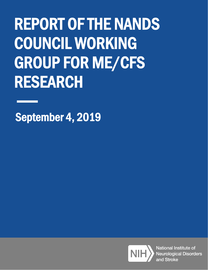# REPORT OF THE NANDS COUNCIL WORKING GROUP FOR ME/CFS RESEARCH

September 4, 2019



National Institute of **Neurological Disorders** and Stroke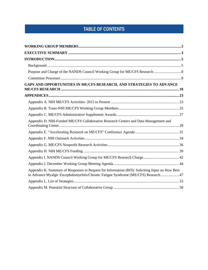# TABLE OF CONTENTS

| GAPS AND OPPORTUNITIES IN ME/CFS RESEARCH, AND STRATEGIES TO ADVANCE                                                                                                                  |  |
|---------------------------------------------------------------------------------------------------------------------------------------------------------------------------------------|--|
|                                                                                                                                                                                       |  |
|                                                                                                                                                                                       |  |
|                                                                                                                                                                                       |  |
|                                                                                                                                                                                       |  |
| Appendix D. NIH-Funded ME/CFS Collaborative Research Centers and Data Management and                                                                                                  |  |
|                                                                                                                                                                                       |  |
|                                                                                                                                                                                       |  |
|                                                                                                                                                                                       |  |
|                                                                                                                                                                                       |  |
| Appendix I. NANDS Council Working Group for ME/CFS Research Charge 42                                                                                                                 |  |
|                                                                                                                                                                                       |  |
| Appendix K. Summary of Responses to Request for Information (RFI): Soliciting Input on How Best<br>to Advance Myalgic Encephalomyelitis/Chronic Fatigue Syndrome (ME/CFS) Research 47 |  |
|                                                                                                                                                                                       |  |
|                                                                                                                                                                                       |  |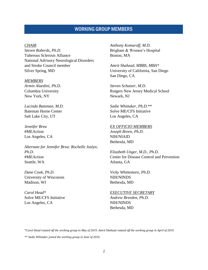# WORKING GROUP MEMBERS

#### <span id="page-2-0"></span>*CHAIR*

*Steven Roberds, Ph.D.* Tuberous Sclerosis Alliance National Advisory Neurological Disorders and Stroke Council member Silver Spring, MD

#### *MEMBERS*

*Armin Alaedini, Ph.D.* Columbia University New York, NY

*Lucinda Bateman, M.D.* Bateman Horne Center Salt Lake City, UT

*Jennifer Brea* #MEAction Los Angeles, CA

*Alternate for Jennifer Brea: Rochelle Joslyn, Ph.D.* #MEAction Seattle, WA

*Dane Cook, Ph.D.* University of Wisconsin Madison, WI

*Carol Head\** Solve ME/CFS Initiative Los Angeles, CA

*Anthony Komaroff, M.D.* Brigham & Women's Hospital Boston, MA

*Amrit Shahzad, MBBS, MBA\** University of California, San Diego San Diego, CA

*Steven Schutzer, M.D.* Rutgers New Jersey Medical School Newark, NJ

*Sadie Whittaker, Ph.D.\*\** Solve ME/CFS Initiative Los Angeles, CA

#### *EX OFFICIO MEMBERS*

*Joseph Breen, Ph.D.* NIH/NIAID Bethesda, MD

*Elizabeth Unger, M.D., Ph.D.* Center for Disease Control and Prevention Atlanta, GA

*Vicky Whittemore, Ph.D.* NIH/NINDS Bethesda, MD

#### *EXECUTIVE SECRETARY*

*Andrew Breeden, Ph.D.* NIH/NINDS Bethesda, MD

*\*Carol Head rotated off the working group in May of 2019. Amrit Shahzad rotated off the working group in April of 2019.*

*\*\* Sadie Whittaker joined the working group in June of 2019.*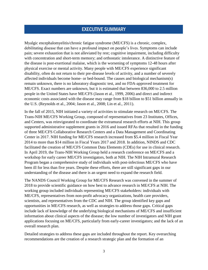# EXECUTIVE SUMMARY

<span id="page-3-0"></span>Myalgic encephalomyelitis/chronic fatigue syndrome (ME/CFS) is a chronic, complex, debilitating disease that can have a profound impact on people's lives. Symptoms can include pain; severe exhaustion that is not alleviated by rest; cognitive impairment, including difficulty with concentration and short-term memory; and orthostatic intolerance. A distinctive feature of the disease is post-exertional malaise, which is the worsening of symptoms 12-48 hours after physical exercise or mental activity. Many people with ME/CFS experience significant disability, often do not return to their pre-disease levels of activity, and a number of severely affected individuals become home- or bed-bound. The causes and biological mechanism(s) remain unknown, there is no laboratory diagnostic test, and no FDA-approved treatment for ME/CFS. Exact numbers are unknown, but it is estimated that between 836,000 to 2.5 million people in the United States have ME/CFS (Jason et al., 1999, 2006) and direct and indirect economic costs associated with the disease may range from \$18 billion to \$51 billion annually in the U.S. (Reynolds et al., 2004; Jason et al., 2008; Lin et al., 2011).

In the fall of 2015, NIH initiated a variety of activities to stimulate research on ME/CFS. The Trans-NIH ME/CFS Working Group, composed of representatives from 23 Institutes, Offices, and Centers, was reinvigorated to coordinate the extramural research efforts at NIH. This group supported administrative supplement grants in 2016 and issued RFAs that resulted in the funding of three ME/CFS Collaborative Research Centers and a Data Management and Coordinating Center in 2017. NIH funding for ME/CFS research increased from \$5.4 million in Fiscal Year 2014 to more than \$14 million in Fiscal Years 2017 and 2018. In addition, NINDS and CDC facilitated the creation of ME/CFS Common Data Elements (CDEs) for use in clinical research. In April 2019, the Trans-NIH Working Group held a research conference on ME/CFS and a workshop for early career ME/CFS investigators, both at NIH. The NIH Intramural Research Program began a comprehensive study of individuals with post-infectious ME/CFS who have been ill for less than five years. Despite these efforts, there are still significant gaps in our understanding of the disease and there is an urgent need to expand the research field.

The NANDS Council Working Group for ME/CFS Research was convened in the summer of 2018 to provide scientific guidance on how best to advance research in ME/CFS at NIH. The working group included individuals representing ME/CFS stakeholders: individuals with ME/CFS, representatives from non-profit advocacy organizations, health care providers, scientists, and representatives from the CDC and NIH. The group identified key gaps and opportunities in ME/CFS research, as well as strategies to address those gaps. Critical gaps include lack of knowledge of the underlying biological mechanisms of ME/CFS and insufficient information about clinical aspects of the disease; the low number of investigators and NIH grant applications focusing on ME/CFS, particularly from early-career investigators; and the lack of an overall research plan.

Detailed strategies to address these gaps are included throughout the report. Key overarching recommendations are the creation of a research strategic plan and the formation of an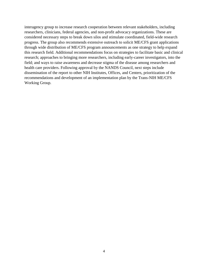interagency group to increase research cooperation between relevant stakeholders, including researchers, clinicians, federal agencies, and non-profit advocacy organizations. These are considered necessary steps to break down silos and stimulate coordinated, field-wide research progress. The group also recommends extensive outreach to solicit ME/CFS grant applications through wide distribution of ME/CFS program announcements as one strategy to help expand this research field. Additional recommendations focus on strategies to facilitate basic and clinical research; approaches to bringing more researchers, including early-career investigators, into the field; and ways to raise awareness and decrease stigma of the disease among researchers and health care providers. Following approval by the NANDS Council, next steps include dissemination of the report to other NIH Institutes, Offices, and Centers, prioritization of the recommendations and development of an implementation plan by the Trans-NIH ME/CFS Working Group.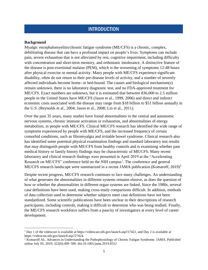# **INTRODUCTION**

#### <span id="page-5-1"></span><span id="page-5-0"></span>**Background**

Myalgic encephalomyelitis/chronic fatigue syndrome (ME/CFS) is a chronic, complex, debilitating disease that can have a profound impact on people's lives. Symptoms can include pain, severe exhaustion that is not alleviated by rest, cognitive impairment, including difficulty with concentration and short-term memory, and orthostatic intolerance. A distinctive feature of the disease is post-exertional malaise (PEM), which is the worsening of symptoms 12-48 hours after physical exercise or mental activity. Many people with ME/CFS experience significant disability, often do not return to their pre-disease levels of activity, and a number of severely affected individuals become home- or bed-bound. The causes and biological mechanism(s) remain unknown, there is no laboratory diagnostic test, and no FDA-approved treatment for ME/CFS. Exact numbers are unknown, but it is estimated that between 836,000 to 2.5 million people in the United States have ME/CFS (Jason et al., 1999, 2006) and direct and indirect economic costs associated with the disease may range from \$18 billion to \$51 billion annually in the U.S. (Reynolds et al., 2004; Jason et al., 2008; Lin et al., 2011).

Over the past 35 years, many studies have found abnormalities in the central and autonomic nervous systems, chronic immune activation or exhaustion, and abnormalities of energy metabolism, in people with ME/CFS. Clinical ME/CFS research has identified the wide range of symptoms experienced by people with ME/CFS, and the increased frequency of certain comorbid conditions, such as fibromyalgia and irritable bowel syndrome. Clinical research also has identified some potential physical examination findings and standard laboratory test results that may distinguish people with ME/CFS from healthy controls and is examining whether past medical history or family history findings may be characteristic of ME/CFS. Many recent laboratory and clinical research findings were presented in April 2019 at the "Accelerating Research on ME/CFS" conference held on the NIH campus<sup>1</sup>. The conference and general ME/CFS research landscape were summarized in a recent JAMA publication (Komaroff, 2019)<sup>2</sup>

Despite recent progress, ME/CFS research continues to face many challenges. An understanding of what generates the abnormalities in different systems remains elusive, as does the question of how or whether the abnormalities in different organ systems are linked. Since the 1980s, several case definitions have been used, making cross-study comparisons difficult. In addition, methods of data collection used to determine whether subjects meet case definitions have not been standardized. Some scientific publications have been unclear in their descriptions of research participants, including controls, making it difficult to determine who was being studied. Finally, the ME/CFS research workforce suffers from a paucity of investigators at every level of career development.

<sup>&</sup>lt;sup>1</sup> Day 1 of the videocast is available at https://videocast.nih.gov/launch.asp?27422, and Day 2 is available at https://videocast.nih.gov/launch.asp?27424.

<sup>2</sup> Komaroff AL. Advances in Understanding the Pathophysiology of Chronic Fatigue Syndrome. JAMA. Published online July 05, 2019; 322(6):499–500. doi:10.1001/jama.2019.8312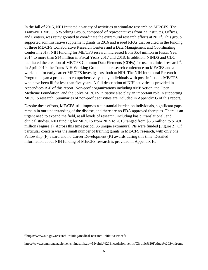In the fall of 2015, NIH initiated a variety of activities to stimulate research on ME/CFS. The Trans-NIH ME/CFS Working Group, composed of representatives from 23 Institutes, Offices, and Centers, was reinvigorated to coordinate the extramural research efforts at NIH<sup>3</sup>. This group supported administrative supplement grants in 2016 and issued RFAs that resulted in the funding of three ME/CFS Collaborative Research Centers and a Data Management and Coordinating Center in 2017. NIH funding for ME/CFS research increased from \$5.4 million in Fiscal Year 2014 to more than \$14 million in Fiscal Years 2017 and 2018. In addition, NINDS and CDC facilitated the creation of ME/CFS Common Data Elements (CDEs) for use in clinical research<sup>4</sup>. In April 2019, the Trans-NIH Working Group held a research conference on ME/CFS and a workshop for early career ME/CFS investigators, both at NIH. The NIH Intramural Research Program began a protocol to comprehensively study individuals with post-infectious ME/CFS who have been ill for less than five years. A full description of NIH activities is provided in Appendices A-F of this report. Non-profit organizations including #MEAction, the Open Medicine Foundation, and the Solve ME/CFS Initiative also play an important role in supporting ME/CFS research. Summaries of non-profit activities are included in Appendix G of this report.

Despite these efforts, ME/CFS still imposes a substantial burden on individuals, significant gaps remain in our understanding of the disease, and there are no FDA approved therapies. There is an urgent need to expand the field, at all levels of research, including basic, translational, and clinical studies. NIH funding for ME/CFS from 2015 to 2018 ranged from \$6.5 million to \$14.8 million (Figure 1). Across this time period, 36 unique extramural PIs were funded (Figure 2). Of particular concern was the small number of training grants in ME/CFS research, with only one Fellowship (F) award and no Career Development (K) awards during this time. Detailed information about NIH funding of ME/CFS research is provided in Appendix H.

4

<sup>3</sup> https://www.nih.gov/research-training/medical-research-initiatives/mecfs

https://www.commondataelements.ninds.nih.gov/Myalgic%20Encephalomyelitis/Chronic%20Fatigue%20Syndrome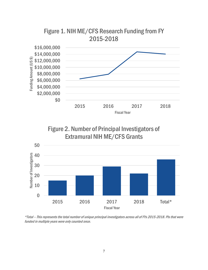





\*Total – This represents the total number of unique principal investigators across all of FYs 2015-2018. PIs that were funded in multiple years were only counted once.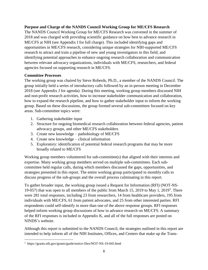## <span id="page-8-0"></span>**Purpose and Charge of the NANDS Council Working Group for ME/CFS Research**

The NANDS Council Working Group for ME/CFS Research was convened in the summer of 2018 and was charged with providing scientific guidance on how best to advance research in ME/CFS at NIH (see Appendix I for full charge). This included identifying gaps and opportunities in ME/CFS research, considering unique strategies for NIH-supported ME/CFS research to attract and train a pipeline of new and young investigators in this field, and identifying potential approaches to enhance ongoing research collaboration and communication between relevant advocacy organizations, individuals with ME/CFS, researchers, and federal agencies focused on supporting research in ME/CFS.

#### <span id="page-8-1"></span>**Committee Processes**

The working group was chaired by Steve Roberds, Ph.D., a member of the NANDS Council. The group initially held a series of introductory calls followed by an in-person meeting in December 2018 (see Appendix J for agenda). During this meeting, working group members discussed NIH and non-profit research activities, how to increase stakeholder communication and collaboration, how to expand the research pipeline, and how to gather stakeholder input to inform the working group. Based on these discussions, the group formed several sub-committees focused on key areas. Sub-committee topics were:

- 1. Gathering stakeholder input
- 2. Structure for ongoing biomedical research collaboration between federal agencies, patient advocacy groups, and other ME/CFS stakeholders
- 3. Create new knowledge pathobiology of ME/CFS
- 4. Create new knowledge clinical information
- 5. Exploratory: identification of potential federal research programs that may be more broadly related to ME/CFS

Working group members volunteered for sub-committee(s) that aligned with their interests and expertise. Many working group members served on multiple sub-committees. Each subcommittee held regular calls, during which members discussed the gaps, opportunities, and strategies presented in this report. The entire working group participated in monthly calls to discuss progress of the sub-groups and the overall process culminating in this report.

To gather broader input, the working group issued a Request for Information (RFI) (NOT-NS-19-057) that was open to all members of the public from March 15, 2019 to May 1, 2019<sup>5</sup>. There were 281 total responses, including 23 from researchers, 14 from healthcare providers, 195 from individuals with ME/CFS, 61 from patient advocates, and 25 from other interested parties. RFI respondents could self-identify in more than one of the above response groups. RFI responses helped inform working group discussions of how to advance research on ME/CFS. A summary of the RFI responses is included in Appendix K, and all of the full responses are posted on NINDS's website.

Although this report is submitted to the NANDS Council, the strategies outlined in this report are intended to help inform all of the NIH Institutes, Offices, and Centers that make up the Trans-

<sup>5</sup> https://grants.nih.gov/grants/guide/notice-files/NOT-NS-19-045.html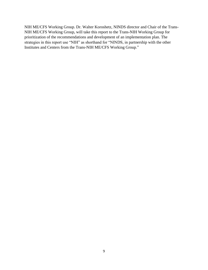NIH ME/CFS Working Group. Dr. Walter Koroshetz, NINDS director and Chair of the Trans-NIH ME/CFS Working Group, will take this report to the Trans-NIH Working Group for prioritization of the recommendations and development of an implementation plan. The strategies in this report use "NIH" as shorthand for "NINDS, in partnership with the other Institutes and Centers from the Trans-NIH ME/CFS Working Group."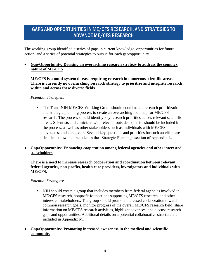# <span id="page-10-0"></span>GAPS AND OPPORTUNITIES IN ME/CFS RESEARCH, AND STRATEGIES TO ADVANCE ME/CFS RESEARCH

The working group identified a series of gaps in current knowledge, opportunities for future action, and a series of potential strategies to pursue for each gap/opportunity.

## • **Gap/Opportunity***:* **Devising an overarching research strategy to address the complex nature of ME/CFS**

**ME/CFS is a multi-system disease requiring research in numerous scientific areas. There is currently no overarching research strategy to prioritize and integrate research within and across these diverse fields.**

#### *Potential Strategies:*

▪ The Trans-NIH ME/CFS Working Group should coordinate a research prioritization and strategic planning process to create an overarching roadmap for ME/CFS research. The process should identify key research priorities across relevant scientific areas. Scientists and clinicians with relevant outside expertise should be included in the process, as well as other stakeholders such as individuals with ME/CFS, advocates, and caregivers. Several key questions and priorities for such an effort are detailed below and included in the "Strategic Planning" section of Appendix L.

#### • **Gap/Opportunity: Enhancing cooperation among federal agencies and other interested stakeholders**

#### **There is a need to increase research cooperation and coordination between relevant federal agencies, non-profits, health care providers, investigators and individuals with ME/CFS.**

- NIH should create a group that includes members from federal agencies involved in ME/CFS research, nonprofit foundations supporting ME/CFS research, and other interested stakeholders. The group should promote increased collaboration toward common research goals, monitor progress of the overall ME/CFS research field, share information on ME/CFS research activities, highlight advances, and discuss research gaps and opportunities. Additional details on a potential collaborative structure are included in Appendix M.
- **Gap/Opportunity: Promoting increased awareness in the medical and scientific community**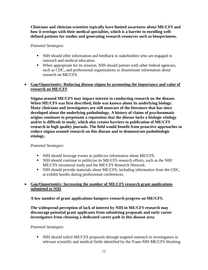**Clinicians and clinician-scientists typically have limited awareness about ME/CFS and how it overlaps with their medical specialties, which is a barrier to enrolling welldefined patients for studies and generating research resources such as biospecimens.**

*Potential Strategies:*

- NIH should offer information and feedback to stakeholders who are engaged in outreach and medical education.
- When appropriate for its mission, NIH should partner with other federal agencies, such as CDC, and professional organizations to disseminate information about research on ME/CFS.

## • **Gap/Opportunity: Reducing disease stigma by promoting the importance and value of research on ME/CFS**

**Stigma around ME/CFS may impact interest in conducting research on the disease. When ME/CFS was first described, little was known about its underlying biology. Many clinicians and investigators are still unaware of the literature that has since developed about the underlying pathobiology. A history of claims of psychosomatic origins continues to perpetuate a reputation that the disease lacks a biologic etiology and/or is difficult to study, which also creates barriers to publication of ME/CFS research in high quality journals. The field would benefit from proactive approaches to reduce stigma around research on this disease and to demonstrate pathobiologic etiology.**

## *Potential Strategies:*

- NIH should leverage events to publicize information about ME/CFS.
- **EXECT** NIH should continue to publicize its ME/CFS research efforts, such as the NIH ME/CFS intramural study and the ME/CFS Research Network.
- NIH should provide materials about ME/CFS, including information from the CDC, at exhibit booths during professional conferences.

## • **Gap/Opportunity: Increasing the number of ME/CFS research grant applications submitted to NIH**

**A low number of grant applications hampers research progress on ME/CFS.**

**The widespread perception of lack of interest by NIH in ME/CFS research may discourage potential grant applicants from submitting proposals and early career investigators from choosing a dedicated career path in this disease area.**

#### *Potential Strategies:*

▪ NIH should solicit ME/CFS proposals through targeted outreach to investigators in relevant scientific and medical fields identified by the Trans-NIH ME/CFS Working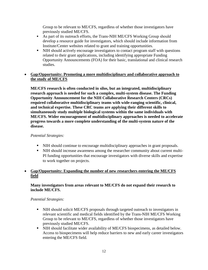Group to be relevant to ME/CFS, regardless of whether those investigators have previously studied ME/CFS.

- As part of its outreach efforts, the Trans-NIH ME/CFS Working Group should develop a resource guide for investigators, which should include information from Institute/Center websites related to grant and training opportunities.
- NIH should actively encourage investigators to contact program staff with questions related to their grant applications, including identifying appropriate Funding Opportunity Announcements (FOA) for their basic, translational and clinical research studies.

#### • **Gap/Opportunity: Promoting a more multidisciplinary and collaborative approach to the study of ME/CFS**

**ME/CFS research is often conducted in silos, but an integrated, multidisciplinary research approach is needed for such a complex, multi-system disease. The Funding Opportunity Announcement for the NIH Collaborative Research Centers (CRCs) required collaborative multidisciplinary teams with wide-ranging scientific, clinical, and technical expertise. These CRC teams are applying their different skills to simultaneously study multiple biological systems within the same individuals with ME/CFS. Wider encouragement of multidisciplinary approaches is needed to accelerate progress towards a more complete understanding of the multi-system nature of the disease.**

#### *Potential Strategies:*

- NIH should continue to encourage multidisciplinary approaches in grant proposals.
- NIH should increase awareness among the researcher community about current multi-PI funding opportunities that encourage investigators with diverse skills and expertise to work together on projects.

#### • **Gap/Opportunity: Expanding the number of new researchers entering the ME/CFS field**

#### **Many investigators from areas relevant to ME/CFS do not expand their research to include ME/CFS.**

- NIH should solicit ME/CFS proposals through targeted outreach to investigators in relevant scientific and medical fields identified by the Trans-NIH ME/CFS Working Group to be relevant to ME/CFS, regardless of whether those investigators have previously studied ME/CFS.
- NIH should facilitate wider availability of ME/CFS biospecimens, as detailed below. Access to biospecimens will help reduce barriers to new and early career investigators entering the ME/CFS field.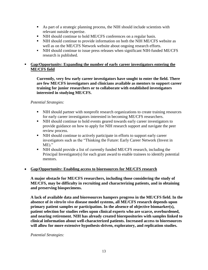- As part of a strategic planning process, the NIH should include scientists with relevant outside expertise.
- NIH should continue to hold ME/CFS conferences on a regular basis.
- NIH should continue to provide information on both the NIH ME/CFS website as well as on the ME/CFS Network website about ongoing research efforts.
- NIH should continue to issue press releases when significant NIH-funded ME/CFS research is published.

## ▪ **Gap/Opportunity: Expanding the number of early career investigators entering the ME/CFS field**

**Currently, very few early career investigators have sought to enter the field. There are few ME/CFS investigators and clinicians available as mentors to support career training for junior researchers or to collaborate with established investigators interested in studying ME/CFS.** 

#### *Potential Strategies:*

- NIH should partner with nonprofit research organizations to create training resources for early career investigators interested in becoming ME/CFS researchers.
- NIH should continue to hold events geared towards early career investigators to provide guidance on how to apply for NIH research support and navigate the peer review process.
- NIH should continue to actively participate in efforts to support early career investigators such as the "Thinking the Future: Early Career Network (Invest in ME)."
- NIH should provide a list of currently funded ME/CFS research, including the Principal Investigator(s) for each grant award to enable trainees to identify potential mentors.

#### • **Gap/Opportunity: Enabling access to bioresources for ME/CFS research**

**A major obstacle for ME/CFS researchers, including those considering the study of ME/CFS, may be difficulty in recruiting and characterizing patients, and in obtaining and preserving biospecimens.** 

**A lack of available data and bioresources hampers progress in the ME/CFS field. In the absence of** *in vitro/in vivo* **disease model systems, all ME/CFS research depends upon primary patient samples or participation. In the absence of objective biomarker(s), patient selection for studies relies upon clinical experts who are scarce, overburdened, and nearing retirement. NIH has already created biorepositories with samples linked to clinical information about well-characterized patients. Increased access to bioresources will allow for more extensive hypothesis-driven, exploratory, and replication studies.**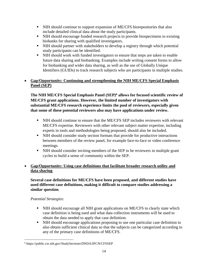- **EXECUTE:** NIH should continue to support expansion of ME/CFS biorepositories that also include detailed clinical data about the study participants.
- NIH should encourage funded research projects to provide biospecimens to existing biobanks for sharing with qualified investigators.
- NIH should partner with stakeholders to develop a registry through which potential study participants can be identified.
- NIH should work with funded investigators to ensure that steps are taken to enable future data sharing and biobanking. Examples include writing consent forms to allow for biobanking and wider data sharing, as well as the use of Globally Unique Identifiers (GUIDs) to track research subjects who are participants in multiple studies.

## • **Gap/Opportunity: Continuing and strengthening the NIH ME/CFS Special Emphasis Panel (SEP)**

**The NIH ME/CFS Special Emphasis Panel (SEP)<sup>6</sup> allows for focused scientific review of ME/CFS grant applications. However, the limited number of investigators with substantial ME/CFS research experience limits the pool of reviewers, especially given that some of these potential reviewers also may have applications under review.**

- NIH should continue to ensure that the ME/CFS SEP includes reviewers with relevant ME/CFS expertise. Reviewers with other relevant subject matter expertise, including experts in tools and methodologies being proposed, should also be included.
- NIH should consider study section formats that provide for productive interactions between members of the review panel, for example face-to-face or video conference meetings.
- NIH should consider inviting members of the SEP to be reviewers in multiple grant cycles to build a sense of community within the SEP.

## • **Gap/Opportunity: Using case definitions that facilitate broader research utility and data sharing**

## **Several case definitions for ME/CFS have been proposed, and different studies have used different case definitions, making it difficult to compare studies addressing a similar question**.

- NIH should encourage all NIH grant applications on ME/CFS to clearly state which case definition is being used and what data collection instruments will be used to obtain the data needed to apply that case definition.
- NIH should encourage applications proposing to use one particular case definition to also obtain sufficient clinical data so that the subjects can be categorized according to any of the primary case definitions of ME/CFS.

<sup>6</sup> https://public.csr.nih.gov/StudySections/DNDA/IFCN/CFSSEP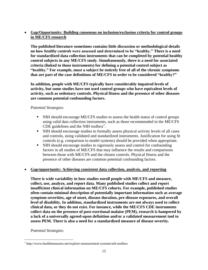## • **Gap/Opportunity: Building consensus on inclusion/exclusion criteria for control groups in ME/CFS research**

**The published literature sometimes contains little discussion or methodological details on how** *healthy controls* **were assessed and determined to be "healthy." There is a need for standardized data collection instruments that can be completed by potential healthy control subjects in any ME/CFS study. Simultaneously, there is a need for associated criteria (linked to those instruments) for defining a potential control subject as "healthy." For example, must a subject be entirely free of all of the chronic symptoms that are part of the case definitions of ME/CFS in order to be considered "healthy?"** 

**In addition, people with ME/CFS typically have considerably impaired levels of activity, but some studies have not used control groups who have equivalent levels of activity, such as sedentary controls. Physical fitness and the presence of other diseases are common potential confounding factors.**

#### *Potential Strategies:*

- NIH should encourage ME/CFS studies to assess the health status of control groups using valid data collection instruments, such as those recommended in the ME/CFS CDE guidelines and the NIH toolbox<sup>7</sup>.
- NIH should encourage studies to formally assess physical activity levels of all cases and controls, using validated and standardized instruments. Justification for using fit controls (e.g. comparison to model systems) should be provided when appropriate.
- NIH should encourage studies to rigorously assess and control for confounding factors in all studies of ME/CFS that may influence the results and comparisons between those with ME/CFS and the chosen controls. Physical fitness and the presence of other diseases are common potential confounding factors.

#### • **Gap/opportunity: Achieving consistent data collection, analysis, and reporting**

**There is wide variability in how studies enroll people with ME/CFS and measure, collect, use, analyze, and report data. Many published studies collect and report insufficient clinical information on ME/CFS cohorts. For example, published studies often contain minimal description of potentially important information such as average symptom severities, age of onset, disease duration, pre-disease exposures, and overall level of disability. In addition, standardized instruments are not always used to collect clinical data, or they do not exist. For instance, while the ME/CFS CDE instruments collect data on the presence of post-exertional malaise (PEM), research is hampered by a lack of a universally agreed-upon definition and/or a validated measurement tool to assess PEM. There is also a need for a standardized measure of disease severity.**

<sup>7</sup> http://www.healthmeasures.net/explore-measurement-systems/nih-toolbox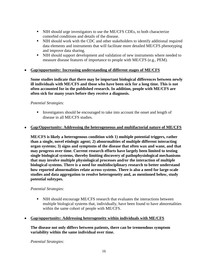- NIH should urge investigators to use the ME/CFS CDEs, to both characterize comorbid conditions and details of the disease.
- NIH should work with the CDC and other stakeholders to identify additional required data elements and instruments that will facilitate more detailed ME/CFS phenotyping and improve data sharing.
- NIH should support development and validation of new instruments where needed to measure disease features of importance to people with ME/CFS (e.g., PEM).
- **Gap/opportunity: Increasing understanding of different stages of ME/CFS**

**Some studies indicate that there may be important biological differences between newly ill individuals with ME/CFS and those who have been sick for a long time. This is not often accounted for in the published research. In addition, people with ME/CFS are often sick for many years before they receive a diagnosis.** 

#### *Potential Strategies:*

**IDED** Investigators should be encouraged to take into account the onset and length of disease in all ME/CFS studies.

#### • **Gap/Opportunity: Addressing the heterogeneous and multifactorial nature of ME/CFS**

**ME/CFS is likely a heterogenous condition with 1) multiple potential triggers, rather than a single, novel etiologic agent; 2) abnormalities of multiple different interacting organ systems; 3) signs and symptoms of the disease that often wax and wane, and that may progress over time. Current research efforts have largely been limited to testing single biological systems, thereby limiting discovery of pathophysiological mechanisms that may involve multiple physiological processes and/or the interaction of multiple biological systems. There is a need for multidisciplinary research to better understand how reported abnormalities relate across systems. There is also a need for large-scale studies and data aggregation to resolve heterogeneity and, as mentioned below, study potential subtypes.**

#### *Potential Strategies:*

**• NIH should encourage ME/CFS research that evaluates the interactions between** multiple biological systems that, individually, have been found to have abnormalities within the same cohort of people with ME/CFS.

#### • **Gap/opportunity: Addressing heterogeneity within individuals with ME/CFS**

#### **The disease not only differs between patients, there can be tremendous symptom variability within the same individual over time.**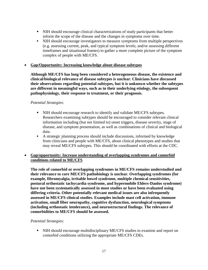- NIH should encourage clinical characterizations of study participants that better inform the scope of the disease and the changes in symptoms over time.
- NIH should encourage investigators to measure symptoms from multiple perspectives (e.g. assessing current, peak, and typical symptom levels; and/or assessing different timeframes and situational frames) to gather a more complete picture of the symptom complex of people with ME/CFS.
- **Gap/Opportunity: Increasing knowledge about disease subtypes**

**Although ME/CFS has long been considered a heterogeneous disease, the existence and clinical/biological relevance of disease subtypes is unclear. Clinicians have discussed their observations regarding potential subtypes, but it is unknown whether the subtypes are different in meaningful ways, such as in their underlying etiology, the subsequent pathophysiology, their response to treatment, or their prognosis.**

#### *Potential Strategies:*

- NIH should encourage research to identify and validate ME/CFS subtypes. Researchers examining subtypes should be encouraged to consider relevant clinical information including (but not limited to) onset triggers, disease severity, stage of disease, and symptom presentation, as well as combinations of clinical and biological data.
- A strategic planning process should include discussions, informed by knowledge from clinicians and people with ME/CFS, about clinical phenotypes and studies that may reveal ME/CFS subtypes. This should be coordinated with efforts at the CDC.

#### • **Gap/opportunity: Increase understanding of overlapping syndromes and comorbid conditions related to ME/CFS**

**The role of comorbid or overlapping syndromes in ME/CFS remains understudied and their relevance to core ME/CFS pathobiology is unclear. Overlapping syndromes (for example, fibromyalgia, irritable bowel syndrome, multiple chemical sensitivities, postural orthostatic tachycardia syndrome, and hypermobile Ehlers-Danlos syndrome) have not been systematically assessed in most studies or have been evaluated using differing criteria. Other potentially relevant medical issues are also infrequently assessed in ME/CFS clinical studies. Examples include mast cell activation, immune activation, small fiber neuropathy, cognitive dysfunction, neurological symptoms (including orthostatic intolerance), and neurostructural findings. The relevance of comorbidities to ME/CFS should be assessed.**

#### *Potential Strategies:*

**EXECUTE:** NIH should encourage multidisciplinary ME/CFS studies to examine and report on comorbid conditions utilizing the appropriate ME/CFS CDEs.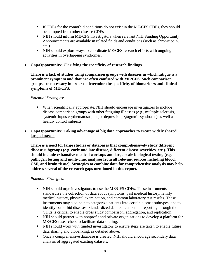- If CDEs for the comorbid conditions do not exist in the ME/CFS CDEs, they should be co-opted from other disease CDEs.
- NIH should inform ME/CFS investigators when relevant NIH Funding Opportunity Announcements are available in related fields and conditions (such as chronic pain, etc.).
- NIH should explore ways to coordinate ME/CFS research efforts with ongoing activities in overlapping syndromes.

#### • **Gap/Opportunity: Clarifying the specificity of research findings**

**There is a lack of studies using comparison groups with diseases in which fatigue is a prominent symptom and that are often confused with ME/CFS. Such comparison groups are necessary in order to determine the specificity of biomarkers and clinical symptoms of ME/CFS.**

#### *Potential Strategies:*

▪ When scientifically appropriate, NIH should encourage investigators to include disease comparison groups with other fatiguing illnesses (e.g., multiple sclerosis, systemic lupus erythematosus, major depression, Sjogren's syndrome) as well as healthy control subjects.

#### • **Gap/Opportunity: Taking advantage of big data approaches to create widely shared large datasets**

**There is a need for large studies or databases that comprehensively study different disease subgroups (e.g. early and late disease, different disease severities, etc.). This should include exhaustive medical workups and large-scale biological testing (e.g. pathogen testing and multi-omic analyses from all relevant sources including blood, CSF, and brain tissue). Strategies to combine data for comprehensive analysis may help address several of the research gaps mentioned in this report.** 

- NIH should urge investigators to use the ME/CFS CDEs. These instruments standardize the collection of data about symptoms, past medical history, family medical history, physical examination, and common laboratory test results. These instruments may also help to categorize patients into certain disease subtypes, and to identify comorbid diseases. Standardized data collection and reporting through the CDEs is critical to enable cross study comparison, aggregation, and replication.
- NIH should partner with nonprofit and private organizations to develop a platform for ME/CFS researchers to facilitate data sharing.
- NIH should work with funded investigators to ensure steps are taken to enable future data sharing and biobanking, as detailed above.
- Once a comprehensive database is created, NIH should encourage secondary data analysis of aggregated existing datasets.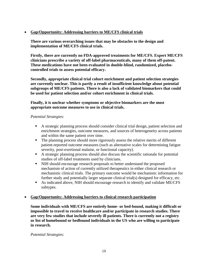## • **Gap/Opportunity: Addressing barriers to ME/CFS clinical trials**

**There are various overarching issues that may be obstacles to the design and implementation of ME/CFS clinical trials.** 

**Firstly, there are currently no FDA-approved treatments for ME/CFS. Expert ME/CFS clinicians prescribe a variety of off-label pharmaceuticals, many of them off-patent. These medications have not been evaluated in double-blind, randomized, placebocontrolled trials to assess potential efficacy.** 

**Secondly, appropriate clinical trial cohort enrichment and patient selection strategies are currently unclear. This is partly a result of insufficient knowledge about potential subgroups of ME/CFS patients. There is also a lack of validated biomarkers that could be used for patient selection and/or cohort enrichment in clinical trials.** 

**Finally, it is unclear whether symptoms or objective biomarkers are the most appropriate outcome measures to use in clinical trials.** 

#### *Potential Strategies:*

- A strategic planning process should consider clinical trial design, patient selection and enrichment strategies, outcome measures, and sources of heterogeneity across patients and within the same patient over time.
- The planning process should more rigorously assess the relative merits of different patient-reported outcome measures (such as alternative scales for determining fatigue severity, post-exertional malaise, or functional capacity).
- A strategic planning process should also discuss the scientific rationale for potential studies of off-label treatments used by clinicians.
- NIH should encourage research proposals to better understand the proposed mechanism of action of currently utilized therapeutics in either clinical research or mechanistic clinical trials. The primary outcome would be mechanistic information for further study and potentially larger separate clinical trial(s) designed for efficacy, etc.
- As indicated above, NIH should encourage research to identify and validate ME/CFS subtypes.

#### • **Gap/Opportunity: Addressing barriers to clinical research participation**

**Some individuals with ME/CFS are entirely home- or bed-bound, making it difficult or impossible to travel to receive healthcare and/or participate in research studies. There are very few studies that include severely ill patients. There is currently not a registry or list of homebound or bedbound individuals in the US who are willing to participate in research.**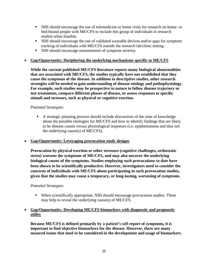- NIH should encourage the use of telemedicine or home visits for research on home- or bed-bound people with ME/CFS to include this group of individuals in research studies when feasible.
- NIH should encourage the use of validated wearable devices and/or apps for symptom tracking of individuals with ME/CFS outside the research lab/clinic setting.
- NIH should encourage measurement of symptom severity.

#### • **Gap/Opportunity: Deciphering the underlying mechanisms specific to ME/CFS**

**While the current published ME/CFS literature reports many biological abnormalities that are** *associated* **with ME/CFS, the studies typically have not established that they cause the symptoms of the disease. In addition to descriptive studies, other research strategies will be needed to gain understanding of disease etiology and pathophysiology. For example, such studies may be prospective in nature to follow disease trajectory or test treatments, compare different phases of disease, or assess responses to specific stimuli and stressors, such as physical or cognitive exertion.**

#### *Potential Strategies:*

- A strategic planning process should include discussions of the state of knowledge about the possible etiologies for ME/CFS and how to identify findings that are likely to be disease causes versus physiological responses (i.e. epiphenomena and thus not the underlying cause(s) of ME/CFS).
- **Gap/Opportunity: Leveraging provocation study designs**

**Provocation by physical exertion or other stressors (cognitive challenges, orthostatic stress) worsens the symptoms of ME/CFS, and may also uncover the underlying biological causes of the symptoms. Studies employing such provocations to date have been shown to be scientifically productive. However, investigators need to consider the concerns of individuals with ME/CFS about participating in such provocation studies, given that the studies may cause a temporary, or long-lasting, worsening of symptoms.**

#### *Potential Strategies:*

▪ When scientifically appropriate, NIH should encourage provocation studies. These may help to reveal the underlying cause(s) of ME/CFS.

#### • **Gap/Opportunity: Developing ME/CFS biomarkers with diagnostic and prognostic utility**

**Because ME/CFS is defined primarily by a patient's self-report of symptoms, it is important to find objective biomarkers for the disease. However, there are many nuanced issues that need to be considered in the development and usage of biomarkers.**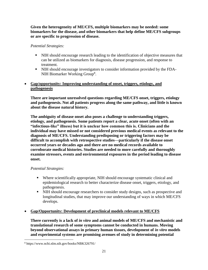**Given the heterogeneity of ME/CFS, multiple biomarkers may be needed: some biomarkers for the disease, and other biomarkers that help define ME/CFS subgroups or are specific to progression of disease.** 

*Potential Strategies:*

- NIH should encourage research leading to the identification of objective measures that can be utilized as biomarkers for diagnosis, disease progression, and response to treatment.
- NIH should encourage investigators to consider information provided by the FDA-NIH Biomarker Working Group<sup>8</sup>.

## • **Gap/opportunity: Improving understanding of onset, triggers, etiology, and pathogenesis**

**There are important unresolved questions regarding ME/CFS onset, triggers, etiology and pathogenesis. Not all patients progress along the same pathway, and little is known about the disease natural history.** 

**The ambiguity of disease onset also poses a challenge to understanding triggers, etiology, and pathogenesis. Some patients report a clear, acute onset (often with an "infectious-like" illness) but it is unclear how common this is. Clinicians and the individual may have missed or not considered previous medical events as relevant to the diagnosis of ME/CFS. Understanding predisposing or triggering factors may be difficult to accomplish with retrospective studies—particularly if the disease onset occurred years or decades ago and there are no medical records available to corroborate medical histories. Studies are needed to more carefully and thoroughly examine stressors, events and environmental exposures in the period leading to disease onset.** 

## *Potential Strategies:*

- Where scientifically appropriate, NIH should encourage systematic clinical and epidemiological research to better characterize disease onset, triggers, etiology, and pathogenesis.
- NIH should encourage researchers to consider study designs, such as prospective and longitudinal studies, that may improve our understanding of ways in which ME/CFS develops.

## • **Gap/Opportunity: Development of preclinical models relevant to ME/CFS**

**There currently is a lack of** *in vitro* **and animal models of ME/CFS and mechanistic and translational research of some symptoms cannot be conducted in humans. Moving beyond observational assays in primary human tissues, development of** *in vitro* **models and experimental systems are promising avenues of study in determining potential** 

<sup>8</sup> https://www.ncbi.nlm.nih.gov/books/NBK326791/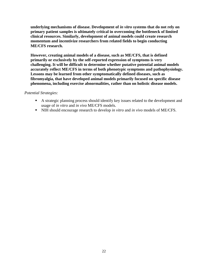**underlying mechanisms of disease. Development of** *in vitro* **systems that do not rely on primary patient samples is ultimately critical in overcoming the bottleneck of limited clinical resources. Similarly, development of animal models could create research momentum and incentivize researchers from related fields to begin conducting ME/CFS research.** 

**However, creating animal models of a disease, such as ME/CFS, that is defined primarily or exclusively by the self-reported expression of symptoms is very challenging. It will be difficult to determine whether putative potential animal models accurately reflect ME/CFS in terms of both phenotypic symptoms and pathophysiology. Lessons may be learned from other symptomatically defined diseases, such as fibromyalgia, that have developed animal models primarily focused on specific disease phenomena, including exercise abnormalities, rather than on holistic disease models.**

- A strategic planning process should identify key issues related to the development and usage of *in vitro* and *in vivo* ME/CFS models.
- NIH should encourage research to develop *in vitro* and *in vivo* models of ME/CFS.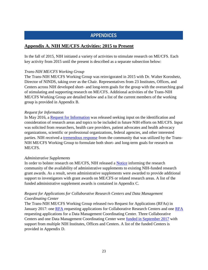# APPENDICES

## <span id="page-23-1"></span><span id="page-23-0"></span>**Appendix A. NIH ME/CFS Activities: 2015 to Present**

In the fall of 2015, NIH initiated a variety of activities to stimulate research on ME/CFS. Each key activity from 2015 until the present is described as a separate subsection below:

#### *Trans-NIH ME/CFS Working Group*

The Trans-NIH ME/CFS Working Group was reinvigorated in 2015 with Dr. Walter Koroshetz, Director of NINDS, taking over as the Chair. Representatives from 23 Institutes, Offices, and Centers across NIH developed short- and long-term goals for the group with the overarching goal of stimulating and supporting research on ME/CFS. Additional activities of the Trans-NIH ME/CFS Working Group are detailed below and a list of the current members of the working group is provided in Appendix B.

#### *Request for Information*

In May 2016, a [Request for Information](https://grants.nih.gov/grants/guide/notice-files/not-ns-16-024.html) was released seeking input on the identification and consideration of research areas and topics to be included in future NIH efforts on ME/CFS. Input was solicited from researchers, health care providers, patient advocates and health advocacy organizations, scientific or professional organizations, federal agencies, and other interested parties. NIH received a [tremendous response](https://www.nih.gov/research-training/medical-research-initiatives/mecfs/nih-requested-comments-me/cfs-research-efforts) from the community that was utilized by the Trans-NIH ME/CFS Working Group to formulate both short- and long-term goals for research on ME/CFS.

#### *Administrative Supplements*

In order to bolster research on ME/CFS, NIH released a **Notice** informing the research community of the availability of administrative supplements to existing NIH-funded research grant awards. As a result, seven administrative supplements were awarded to provide additional support to investigators with grant awards on ME/CFS or related research areas. A list of the funded administrative supplement awards is contained in Appendix C.

## *Request for Applications for Collaborative Research Centers and Data Management Coordinating Center*

The Trans-NIH ME/CFS Working Group released two Request for Applications (RFAs) in January 2017: one [RFA](https://grants.nih.gov/grants/guide/rfa-files/rfa-ns-17-022.html) requesting applications for Collaborative Research Centers and one RFA requesting applications for a Data Management Coordinating Center. Three Collaborative Centers and one Data Management Coordinating Center were [funded in September 2017](https://www.nih.gov/news-events/news-releases/nih-announces-centers-myalgic-encephalomyelitis-chronic-fatigue-syndrome-research) with support from multiple NIH Institutes, Offices and Centers. A list of the funded Centers is provided in Appendix D.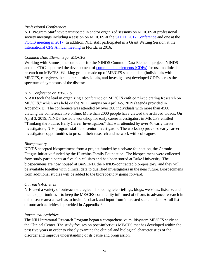#### *Professional Conferences*

NIH Program Staff have participated in and/or organized sessions on ME/CFS at professional society meetings including a session on ME/CFS at the [SLEEP 2017 Conference](https://www.sleepresearchsociety.org/sleep-2017/) and one at the [FOCIS meeting in 2017.](https://www.eventscribe.com/2017/FOCIS/agenda.asp?h=Full%20Schedule) In addition, NIH staff participated in a Grant Writing Session at the [International CFS Annual meeting](http://iacfsme.org/Conferences/2016-Fort-Lauderdale/Agenda/Professional-Agenda.aspx) in Florida in 2016.

#### *Common Data Elements for ME/CFS*

Working with Emmes, the contractor for the NINDS Common Data Elements project, NINDS and the CDC supported the development of [common data elements \(CDEs\)](https://www.commondataelements.ninds.nih.gov/Myalgic%20Encephalomyelitis/Chronic%20Fatigue%20Syndrome) for use in clinical research on ME/CFS. Working groups made up of ME/CFS stakeholders (individuals with ME/CFS, caregivers, health care professionals, and investigators) developed CDEs across the spectrum of symptoms of the disease.

## *NIH Conference on ME/CFS*

NIAID took the lead in organizing a conference on ME/CFS entitled "Accelerating Research on ME/CFS," which was held on the NIH Campus on April 4-5, 2019 (agenda provided in Appendix E). The conference was attended by over 300 individuals with more than 4500 viewing the conference live online. More than 2000 people have viewed the archived videos. On April 3, 2019, NINDS hosted a workshop for early career investigators in ME/CFS entitled "Thinking the Future: Early Career Investigators" that was attended by over 40 early career investigators, NIH program staff, and senior investigators. The workshop provided early career investigators opportunities to present their research and network with colleagues.

#### *Biorepository*

NINDS accepted biospecimens from a project funded by a private foundation, the Chronic Fatigue Initiative funded by the Hutchins Family Foundation. The biospecimens were collected from study participants at five clinical sites and had been stored at Duke University. The biospecimens are now housed at BioSEND, the NINDS-contracted biorepository, and they will be available together with clinical data to qualified investigators in the near future. Biospecimens from additional studies will be added to the biorepository going forward.

#### *Outreach Activities*

NIH used a variety of outreach strategies – including telebriefings, blogs, websites, listserv, and media opportunities – to keep the ME/CFS community informed of efforts to advance research in this disease area as well as to invite feedback and input from interested stakeholders. A full list of outreach activities is provided in Appendix F.

#### *Intramural Activities*

The NIH Intramural Research Program began a comprehensive multisystem ME/CFS study at the Clinical Center. The study focuses on post-infectious ME/CFS that has developed within the past five years in order to closely examine the clinical and biological characteristics of the disorder and improve understanding of its cause and progression.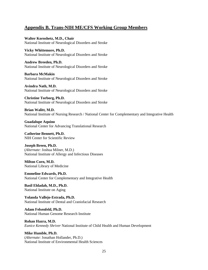## <span id="page-25-0"></span>**Appendix B. Trans-NIH ME/CFS Working Group Members**

**Walter Koroshetz, M.D., Chair** National Institute of Neurological Disorders and Stroke

**Vicky Whittemore, Ph.D.** National Institute of Neurological Disorders and Stroke

**Andrew Breeden, Ph.D.** National Institute of Neurological Disorders and Stroke

**Barbara McMakin** National Institute of Neurological Disorders and Stroke

**Avindra Nath, M.D.** National Institute of Neurological Disorders and Stroke

**Christine Torborg, Ph.D.** National Institute of Neurological Disorders and Stroke

**Brian Walitt, M.D.** National Institute of Nursing Research / National Center for Complementary and Integrative Health

**Guadalupe Aquino** National Center for Advancing Translational Research

**Catherine Bennett, Ph.D.** NIH Center for Scientific Review

**Joseph Breen, Ph.D.** (*Alternate:* Joshua Milner, M.D.) National Institute of Allergy and Infectious Diseases

**Milton Corn, M.D.** National Library of Medicine

**Emmeline Edwards, Ph.D.** National Center for Complementary and Integrative Health

**Basil Eldadah, M.D., Ph.D.** National Institute on Aging

**Yolanda Vallejo-Estrada, Ph.D.** National Institute of Dental and Craniofacial Research

**Adam Felsenfeld, Ph.D.** National Human Genome Research Institute

**Rohan Hazra, M.D.** *Eunice Kennedy Shriver* National Institute of Child Health and Human Development

**Mike Humble, Ph.D.** (*Alternate:* Jonathan Hollander, Ph.D.) National Institute of Environmental Health Sciences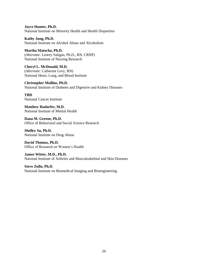**Joyce Hunter, Ph.D.** National Institute on Minority Health and Health Disparities

**Kathy Jung, Ph.D.** National Institute on Alcohol Abuse and Alcoholism

**Martha Matocha, Ph.D.** (*Alternate:* Leorey Saligan, Ph.D., RN, CRNP) National Institute of Nursing Research

**Cheryl L. McDonald, M.D.** (*Alternate:* Catherine Levy, RN) National Heart, Lung, and Blood Institute

**Christopher Mullins, Ph.D.** National Institute of Diabetes and Digestive and Kidney Diseases

**TBD** National Cancer Institute

**Matthew Rudorfer, M.D.** National Institute of Mental Health

**Dana M. Greene, Ph.D.** Office of Behavioral and Social Science Research

**Shelley Su, Ph.D.** National Institute on Drug Abuse

**David Thomas, Ph.D.** Office of Research on Women's Health

**James Witter, M.D., Ph.D.** National Institute of Arthritis and Musculoskeletal and Skin Diseases

**Steve Zullo, Ph.D.** National Institute on Biomedical Imaging and Bioengineering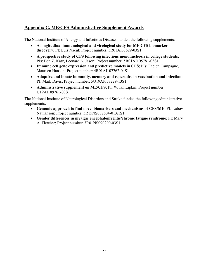# <span id="page-27-0"></span>**Appendix C. ME/CFS Administrative Supplement Awards**

The National Institute of Allergy and Infectious Diseases funded the following supplements:

- **A longitudinal immunological and virological study for ME CFS biomarker discovery**; PI: Luis Nacul; Project number: 3R01AI03629-03S1
- **A prospective study of CFS following infectious mononucleosis in college students**; PIs: Ben Z. Katz, Leonard A. Jason; Project number: 5R01AI105781-03S1
- **Immune cell gene expression and predictive models in CFS**; PIs: Fabien Campagne, Maureen Hanson; Project number: 4R01AI107762-04S1
- **Adaptive and innate immunity, memory and repertoire in vaccination and infection**; PI: Mark Davis; Project number: 5U19AI057229-13S1
- **Administrative supplement on ME/CFS**; PI: W. Ian Lipkin; Project number: U19AI109761-03S1

The National Institute of Neurological Disorders and Stroke funded the following administrative supplements:

- **Genomic approach to find novel biomarkers and mechanisms of CFS/ME**; PI: Lubov Nathanson; Project number: 3R15NS087604-01A1S1
- **Gender differences in myalgic encephalomyelitis/chronic fatigue syndrome**; PI: Mary A. Fletcher; Project number: 3R01NS090200-03S1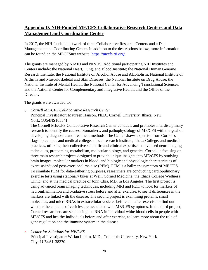# <span id="page-28-0"></span>**Appendix D. NIH-Funded ME/CFS Collaborative Research Centers and Data Management and Coordinating Center**

In 2017, the NIH funded a network of three Collaborative Research Centers and a Data Management and Coordinating Center. In addition to the descriptions below, more information can be found on the MECFSnet website: [https://mecfs.rti.org/.](https://mecfs.rti.org/)

The grants are managed by NIAID and NINDS. Additional participating NIH Institutes and Centers include: the National Heart, Lung, and Blood Institute; the National Human Genome Research Institute; the National Institute on Alcohol Abuse and Alcoholism; National Institute of Arthritis and Musculoskeletal and Skin Diseases; the National Institute on Drug Abuse; the National Institute of Mental Health; the National Center for Advancing Translational Sciences; and the National Center for Complementary and Integrative Health; and the Office of the Director.

The grants were awarded to:

o *Cornell ME/CFS Collaborative Research Center* Principal Investigator: Maureen Hanson, Ph.D., Cornell University, Ithaca, New

York; 1U54NS105541

The Cornell ME/CFS Collaborative Research Center conducts and promotes interdisciplinary research to identify the causes, biomarkers, and pathophysiology of ME/CFS with the goal of developing diagnostic and treatment methods. The Center draws expertise from Cornell's flagship campus and medical college, a local research institute, Ithaca College, and medical practices, utilizing their collective scientific and clinical expertise in advanced neuroimaging techniques, proteomics, metabolism, molecular biology, and genetics. Cornell is focusing on three main research projects designed to provide unique insights into ME/CFS by studying brain images, molecular markers in blood, and biologic and physiologic characteristics of exercise-induced post-exertional malaise (PEM). PEM is a hallmark symptom of ME/CFS. To simulate PEM for data-gathering purposes, researchers are conducting cardiopulmonary exercise tests using stationary bikes at Weill Cornell Medicine, the Ithaca College Wellness Clinic, and at the medical practice of John Chia, MD, in Los Angeles. The first project is using advanced brain imaging techniques, including MRI and PET, to look for markers of neuroinflammation and oxidative stress before and after exercise, to see if differences in the markers are linked with the disease. The second project is examining proteins, small molecules, and microRNAs in extracellular vesicles before and after exercise to find out whether the contents of vesicles are associated with ME/CFS symptoms. In the third project, Cornell researchers are sequencing the RNA in individual white blood cells in people with ME/CFS and healthy individuals before and after exercise, to learn more about the role of gene regulation and the immune system in the disease.

o *Center for Solutions for ME/CFS*

Principal Investigator: W. Ian Lipkin, M.D., Columbia University, New York City; 1U54AI138370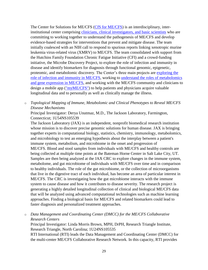The Center for Solutions for ME/CFS [\(CfS for ME/CFS\)](https://www.mailman.columbia.edu/research/center-infection-and-immunity/mecfs-center) is an interdisciplinary, interinstitutional center comprising [clinicians, clinical investigators, and basic scientists](https://www.mailman.columbia.edu/research/center-infection-and-immunity/who-we-are) who are committing to working together to understand the pathogenesis of ME/CFS and develop evidence-based strategies for interventions that prevent and mitigate disease. The team initially coalesced with an NIH call to respond to spurious reports linking xenotropic murine leukemia virus-related virus (XMRV) to ME/CFS. The team consolidated with support from the Hutchins Family Foundation Chronic Fatigue Initiative (CFI) and a crowd-funding initiative, the Microbe Discovery Project, to explore the role of infection and immunity in disease and identify biomarkers for diagnosis through functional genomic, epigenetic, proteomic, and metabolomic discovery. The Center's three main projects are [exploring](https://www.mailman.columbia.edu/research/center-infection-and-immunity/project-1) the [role of infection and immunity in ME/CFS,](https://www.mailman.columbia.edu/research/center-infection-and-immunity/project-1) working to [understand the roles of metabolomics](https://www.mailman.columbia.edu/research/center-infection-and-immunity/project-2)  [and gene expression in ME/CFS,](https://www.mailman.columbia.edu/research/center-infection-and-immunity/project-2) and working with the ME/CFS community and clinicians to design a mobile app [\("myME/CFS"\)](https://www.mailman.columbia.edu/research/center-infection-and-immunity/project-3) to help patients and physicians acquire valuable longitudinal data and to personally as well as clinically manage the illness.

o *Topological Mapping of Immune, Metabolomic and Clinical Phenotypes to Reveal ME/CFS Disease Mechanisms*

Principal Investigator: Derya Unutmaz, M.D., The Jackson Laboratory, Farmington, Connecticut; 1U54NS105539

The Jackson Laboratory (JAX) is an independent, nonprofit biomedical research institution whose mission is to discover precise genomic solutions for human disease. JAX is bringing together experts in computational biology, statistics, chemistry, immunology, metabolomics, and microbiology to test an emerging hypothesis about the interplay between a patient's immune system, metabolism, and microbiome in the onset and progression of ME/CFS. Blood and stool samples from individuals with ME/CFS and healthy controls are being collected at multiple time points at the Bateman Horne Center in Salt Lake City, UT. Samples are then being analyzed at the JAX CRC to explore changes in the immune system, metabolome, and gut microbiome of individuals with ME/CFS over time and in comparison to healthy individuals. The role of the gut microbiome, or the collection of microorganisms that live in the digestive tract of each individual, has become an area of particular interest in ME/CFS. The CRC is investigating how the gut microbiome interacts with the immune system to cause disease and how it contributes to disease severity. The research project is generating a highly detailed longitudinal collection of clinical and biological ME/CFS data that will be analyzed using advanced computational technologies such as machine learning approaches. Finding a biological basis for ME/CFS and related biomarkers could lead to faster diagnosis and personalized treatment approaches.

o *Data Management and Coordinating Center (DMCC) for the ME/CFS Collaborative Research Centers*

Principal Investigator: Linda Morris Brown, MPH, DrPH, Research Triangle Institute, Research Triangle, North Carolina; 1U24NS105535

RTI International (RTI) leads the Data Management and Coordinating Center (DMCC) for the multi-center ME/CFS Collaborative Research Network. In this capacity, RTI provides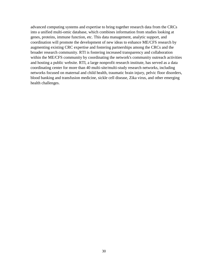advanced computing systems and expertise to bring together research data from the CRCs into a unified multi-omic database, which combines information from studies looking at genes, proteins, immune function, etc. This data management, analytic support, and coordination will promote the development of new ideas to enhance ME/CFS research by augmenting existing CRC expertise and fostering partnerships among the CRCs and the broader research community. RTI is fostering increased transparency and collaboration within the ME/CFS community by coordinating the network's community outreach activities and hosting a public website. RTI, a large nonprofit research institute, has served as a data coordinating center for more than 40 multi-site/multi-study research networks, including networks focused on maternal and child health, traumatic brain injury, pelvic floor disorders, blood banking and transfusion medicine, sickle cell disease, Zika virus, and other emerging health challenges.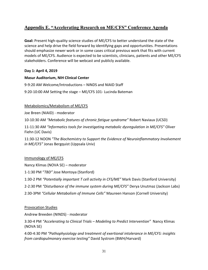# <span id="page-31-0"></span>**Appendix E. "Accelerating Research on ME/CFS" Conference Agenda**

**Goal:** Present high-quality science studies of ME/CFS to better understand the state of the science and help drive the field forward by identifying gaps and opportunities. Presentations should emphasize newer work or in some cases critical previous work that fits with current models of ME/CFS. Audience is expected to be scientists, clinicians, patients and other ME/CFS stakeholders. Conference will be webcast and publicly available.

## **Day 1: April 4, 2019**

#### **Masur Auditorium, NIH Clinical Center**

9-9:20 AM Welcome/Introductions – NINDS and NIAID Staff

9:20-10:00 AM Setting the stage – ME/CFS 101- Lucinda Bateman

## Metabolomics/Metabolism of ME/CFS

Joe Breen (NIAID) - moderator

10-10:30 AM *"Metabolic features of chronic fatigue syndrome"* Robert Naviaux (UCSD)

11-11:30 AM *"Informatics tools for investigating metabolic dysregulation in ME/CFS"* Oliver Fiehn (UC Davis)

11:30-12 NOON *"The Biochemistry to Support the Evidence of Neuroinflammatory Involvement in ME/CFS"* Jonas Bergquist (Uppsala Univ)

#### Immunology of ME/CFS

Nancy Klimas (NOVA SE) – moderator

1-1:30 PM "*TBD"* Jose Montoya (Stanford)

1:30-2 PM *"Potentially important T cell activity in CFS/ME"* Mark Davis (Stanford University)

2-2:30 PM *"Disturbance of the immune system during ME/CFS"* Derya Unutmaz (Jackson Labs)

2:30-3PM *"Cellular Metabolism of Immune Cells"* Maureen Hanson (Cornell University)

#### Provocation Studies

Andrew Breeden (NINDS) - moderator

3:30-4 PM *"Accelerating to Clinical Trials – Modeling to Predict Intervention"* Nancy Klimas (NOVA SE)

4:00-4:30 PM *"Pathophysiology and treatment of exertional intolerance in ME/CFS: insights from cardiopulmonary exercise testing"* David Systrom (BWH/Harvard)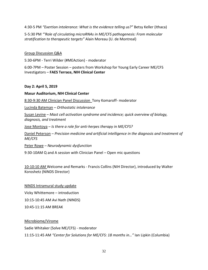4:30-5 PM *"Exertion intolerance: What is the evidence telling us?"* Betsy Keller (Ithaca)

5-5:30 PM *"'Role of circulating microRNAs in ME/CFS pathogenesis: From molecular stratification to therapeutic targets"* Alain Moreau (U. de Montreal)

#### Group Discussion Q&A

5:30-6PM - Terri Wilder (#MEAction) - moderator

6:00-7PM – Poster Session – posters from Workshop for Young Early Career ME/CFS Investigators – **FAES Terrace, NIH Clinical Center**

#### **Day 2: April 5, 2019**

**Masur Auditorium, NIH Clinical Center**

8:30-9:30 AM Clinician Panel Discussion Tony Komaroff- moderator

Lucinda Bateman – *Orthostatic intolerance*

Susan Levine – *Mast cell activation syndrome and incidence; quick overview of biology, diagnosis, and treatment*

Jose Montoya – *Is there a role for anti-herpes therapy in ME/CFS?*

Daniel Peterson – *Precision medicine and artificial intelligence in the diagnosis and treatment of ME/CFS*

Peter Rowe – *Neurodynamic dysfunction*

9:30-10AM Q and A session with Clinician Panel – Open mic questions

10-10:10 AM Welcome and Remarks - Francis Collins (NIH Director), introduced by Walter Koroshetz (NINDS Director)

NINDS Intramural study update Vicky Whittemore – introduction 10:15-10:45 AM Avi Nath (NINDS) 10:45-11:15 AM BREAK

Microbiome/Virome Sadie Whitaker (Solve ME/CFS) - moderator 11:15-11:45 AM *"Center for Solutions for ME/CFS: 18 months in…"* Ian Lipkin (Columbia)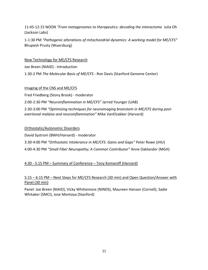11:45-12:15 NOON *"From metagenomes to therapeutics: decoding the interactome* Julia Oh (Jackson Labs)

1-1:30 PM *"Pathogenic alterations of mitochondrial dynamics: A working model for ME/CFS"*  Bhupesh Prusty (Wuerzburg)

New Technology for ME/CFS Research

Joe Breen (NIAID) - introduction

1:30-2 PM *The Molecular Basis of ME/CFS* - Ron Davis (Stanford Genome Center)

## Imaging of the CNS and ME/CFS

Fred Friedberg (Stony Brook) - moderator 2:00-2:30 PM *"Neuroinflammation in ME/CFS"* Jarred Younger (UAB)

2:30-3:00 PM *"Optimizing techniques for neuroimaging brainstem in ME/CFS during postexertional malaise and neuroinflammation"* Mike VanElzakker (Harvard)

## Orthostatic/Autonomic Disorders

David Systrom (BWH/Harvard) - moderator

3:30-4:00 PM *"Orthostatic Intolerance in ME/CFS: Gains and Gaps"* Peter Rowe (JHU)

4:00-4:30 PM *"Small Fiber Neuropathy; A Common Contributor"* Anne Oaklander (MGH)

## 4:30 - 5:15 PM – Summary of Conference – Tony Komaroff (Harvard)

## 5:15 – 6:15 PM – Next Steps for ME/CFS Research (30 min) and Open Question/Answer with Panel (30 min)

Panel: Joe Breen (NIAID), Vicky Whittemore (NINDS), Maureen Hanson (Cornell), Sadie Whitaker (SMCI), Jose Montoya (Stanford)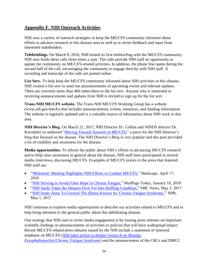# <span id="page-34-0"></span>**Appendix F. NIH Outreach Activities**

NIH uses a variety of outreach strategies to keep the ME/CFS community informed about efforts to advance research in this disease area as well as to invite feedback and input from interested stakeholders.

**Telebriefings.** On March 8, 2016, NIH hosted its first telebriefing with the ME/CFS community. NIH now holds these calls three times a year. The calls provide NIH staff an opportunity to update the community on ME/CFS-related activities. In addition, the phone line opens during the second half of the call, encouraging the community to engage directly with NIH staff. A recording and transcript of the calls are posted online.

**List Serv.** To help keep the ME/CFS community informed about NIH activities in this disease, NIH created a list serv to send out announcements of upcoming events and relevant updates. There are currently more than 400 subscribers to the list serv. Anyone who is interested in receiving announcements and updates from NIH is invited to sign up for the list serv.

**Trans-NIH ME/CFS website.** The Trans-NIH ME/CFS Working Group has a website (www.nih.gov/mecfs) that includes announcements, events, resources, and funding information. The website is regularly updated and is a valuable source of information about NIH work in this area.

**NIH Director's Blog.** On March 21, 2017, NIH Director Dr. Collins and NINDS director Dr. Koroshetz co-authored ["Moving Toward Answers in ME/CFS,](https://directorsblog.nih.gov/2017/03/21/moving-toward-answers-in-mecfs/)" a piece for the NIH Director's blog that focused on the disease. The NIH Director's Blog is very popular and this post provided a lot of visibility and awareness for the disease.

**Media opportunities.** To inform the public about NIH's efforts in advancing ME/CFS research and to help raise awareness in general about the disease, NIH staff have participated in several media interviews, discussing ME/CFS. Examples of ME/CFS stories in the press that featured NIH staff are:

- ["'Milestone' Meeting Highlights NIH Efforts to Combat ME/CFS,](https://www.medscape.com/viewarticle/911906)" Medscape, April 17, 2019
- ["NIH Striving to Avoid False Hope in Chronic Fatigue,](https://www.medpagetoday.com/publichealthpolicy/publichealth/70529)" MedPage Today, January 16, 2018
- ["NIH Study Takes the Deepest Dive Yet Into Baffling Condition,](https://www.nbcnews.com/health/health-news/nih-study-takes-deepest-dive-yet-baffling-condition-n754271)" NBC News, May 3, 2017
- ["NIH Study Aims To Unravel The Illness Known As 'Chronic Fatigue Syndrome,'"](http://intranet.ninds.nih.gov/web_resources/call_neurosciencenews.asp?url=http://www.npr.org/sections/health-shots/2017/05/01/526372209/nih-study-aims-to-unravel-the-illness-known-as-chronic-fatigue-syndrome) NPR, May 1, 2017

NIH continues to explore media opportunities to describe our activities related to ME/CFS and to help bring attention to the general public about this debilitating disease.

One strategy that NIH uses to invite media engagement is by issuing press releases on important scientific findings or announcements of activities or policies that will have widespread impact. Recent ME/CFS-related press releases issued by the NIH include a statement of renewed emphasis on ME/CFS (*[NIH takes action to bolster research on Myalgic](https://www.nih.gov/news-events/news-releases/nih-takes-action-bolster-research-myalgic-encephalomyelitis/chronic-fatigue-syndrome)  [Encephalomyelitis/Chronic Fatigue Syndrome](https://www.nih.gov/news-events/news-releases/nih-takes-action-bolster-research-myalgic-encephalomyelitis/chronic-fatigue-syndrome)*) and the announcement of the CRCs and DMCC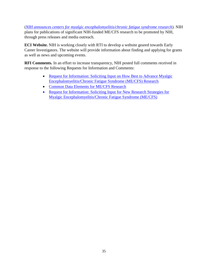(*[NIH announces centers for myalgic encephalomyelitis/chronic fatigue syndrome research](https://www.nih.gov/news-events/news-releases/nih-announces-centers-myalgic-encephalomyelitis-chronic-fatigue-syndrome-research)*). NIH plans for publications of significant NIH-funded ME/CFS research to be promoted by NIH, through press releases and media outreach.

**ECI Website.** NIH is working closely with RTI to develop a website geared towards Early Career Investigators. The website will provide information about finding and applying for grants as well as news and upcoming events.

**RFI Comments.** In an effort to increase transparency, NIH posted full comments received in response to the following Requests for Information and Comments:

- Request for Information: Soliciting Input on How Best to Advance Myalgic [Encephalomyelitis/Chronic Fatigue Syndrome \(ME/CFS\) Research](https://grants.nih.gov/grants/guide/notice-files/NOT-NS-19-045.html)
- [Common Data Elements for ME/CFS Research](https://www.commondataelements.ninds.nih.gov/Myalgic%20Encephalomyelitis/Chronic%20Fatigue%20Syndrome)
- Request for Information: Soliciting Input for New Research Strategies for [Myalgic Encephalomyelitis/Chronic Fatigue Syndrome \(ME/CFS\)](https://grants.nih.gov/grants/guide/notice-files/NOT-NS-16-024.html)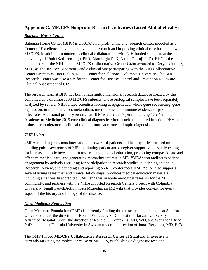## <span id="page-36-0"></span>**Appendix G. ME/CFS Nonprofit Research Activities (Listed Alphabetically)**

## *Bateman Horne Center*

Bateman Horne Center (BHC) is a 501(c)3 nonprofit clinic and research center, modeled as a Center of Excellence, devoted to advancing research and improving clinical care for people with ME/CFS. In addition to numerous clinical collaborations with NIH funded scientists at the University of Utah (Kathleen Light PhD, Alan Light PhD, Akiko Okifuji PhD), BHC is the clinical core of the NIH funded ME/CFS Collaborative Center Grant awarded to Derya Unutmaz, M.D., at The Jackson Laboratory and a clinical site participating with the NIH Collaborative Center Grant to W. Ian Lipkin, M.D., Center for Solutions, Columbia University. The BHC Research Center was also a site for the Center for Disease Control and Prevention Multi-site Clinical Assessment of CFS.

The research team at BHC has built a rich multidimensional research database created by the combined data of almost 200 ME/CFS subjects whose biological samples have been separately analyzed by several NIH-funded scientists looking at epigenetics, whole gene sequencing, gene expression, immune function, metabolism, microbiome, and immune evidence of prior infections. Additional primary research at BHC is aimed at "operationalizing" the National Academy of Medicine 2015 core clinical diagnostic criteria such as impaired function, PEM and orthostatic intolerance as clinical tools for more accurate and rapid diagnosis.

## *#MEAction*

#MEAction is a grassroots international network of patients and healthy allies focused on building public awareness of ME, facilitating patient and caregiver support venues, advocating for increased public investment in research and medical education, promoting compassionate and effective medical care, and generating researcher interest in ME. #MEAction facilitates patient engagement by actively recruiting for participation in research studies, publishing an annual Research Review, and attending and reporting on ME conferences. #MEAction also supports several young researcher and clinical fellowships, produces medical education materials including a nationally accredited CME, engages in epidemiological research for the ME community, and partners with the NIH-supported Research Centers project with Columbia University. Finally, #MEAction hosts MEpedia, an ME wiki that provides context for every aspect of the history and biology of the disease.

## *Open Medicine Foundation*

Open Medicine Foundation (OMF) is currently funding three research centers – one at Stanford University under the direction of Ronald W. Davis, PhD, one at the Harvard University Affiliated Hospitals under the direction of Ronald G. Tompkins, MD, ScD, and Wenzhong Xiao, PhD, and one at Uppsala University in Sweden under the direction of Jonas Bergquist, MD, PhD.

The OMF-funded **ME/CFS Collaborative Research Center at Stanford University** is currently targeting the molecular cause of ME/CFS, establishing a diagnostic test, and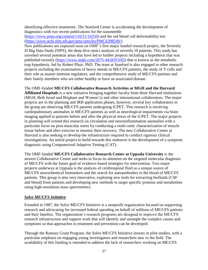identifying effective treatments. The Stanford Center is accelerating the development of diagnostics with two recent publications for the nanoneedle

[\(https://www.pnas.org/content/116/21/10250\)](https://www.pnas.org/content/116/21/10250) and the red blood cell deformability test [\(https://www.ncbi.nlm.nih.gov/pmc/articles/PMC6398549/\)](https://www.ncbi.nlm.nih.gov/pmc/articles/PMC6398549/).

New publications are expected soon on OMF's first major funded research project, the Severely ill Big Data Study (SIPS), the deep dive omics analysis of severely ill patients. This study has unveiled several potential areas that have led to further projects including a hypothesis that was published recently [\(https://www.mdpi.com/2075-4418/9/3/82\)](https://www.mdpi.com/2075-4418/9/3/82) that is known as the metabolic trap hypothesis, led by Robert Phair, PhD. The team at Stanford is also engaged in other research projects including the examination of heavy metals in ME/CFS patients, the study of T-cells and their role as master immune regulators, and the comprehensive study of ME/CFS patients and their family members who are either healthy or have an associated disease.

#### The OMF-funded **ME/CFS Collaborative Research Activities at MGH and the Harvard**

**Affiliated Hospitals** is a new initiative bringing together faculty from three Harvard institutions (MGH, Beth Israel and Brigham and Women's) and other international collaborators. The major projects are in the planning and IRB application phases, however, several key collaborators in the group are observing ME/CFS patients undergoing iCPET. This research is resolving cardiopulmonary anomalies in ME/CFS patients as well as neurological impairments via brain imaging applied to patients before and after the physical stress of the iCPET. The major projects in planning will extend this research on circulation and neuroinflammation anomalies with a particular focus on post-muscular stress by conducting a multi-omic characterization of muscle tissue before and after exercise to monitor their recovery. The new Collaborative Center at Harvard is also seeking to develop the infrastructure required to conduct rigorous clinical investigations. An initial project to build towards this endeavor is the development of a symptom diagnostic using Computerized Adaptive Testing (CAT).

The OMF-funded **ME/CFS Collaborative Research Center at Uppsala University** is the newest Collaborative Center and seeks to focus its attention on the targeted molecular diagnosis of ME/CFS with the future goal of evidence-based strategies for intervention. Two major projects underway at Uppsala is the analysis of cerebrospinal fluid as a unique source of ME/CFS neurochemical biomarkers and the search for autoantibodies in the blood of ME/CFS patients. This group is also very innovative, exploring new tools for extracting biofluids (CSF and blood) from patients and developing new methods to target specific proteins and metabolites using high-resolution mass spectrometry.

#### *Solve ME/CFS Initiative*

Founded in 1987, the Solve ME/CFS Initiative is a nonprofit organization focused on supporting research and advocating for increased federal spending on behalf of millions of ME/CFS patients and their families. The organization's research programs are designed to improve the ME/CFS research infrastructure and support work that will identify and untangle the complex causes and symptoms so that approaches to treatment and prevention can be developed.

Through the Ramsay Grant Program, the Solve ME/CFS Initiative invests in pilot studies, with a particular emphasis on engaging young investigators and researchers new to the field. The availability of this funding is intended to address the lack of researchers working on ME/CFS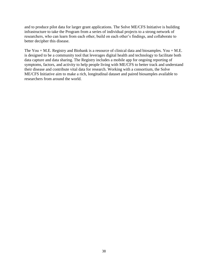and to produce pilot data for larger grant applications. The Solve ME/CFS Initiative is building infrastructure to take the Program from a series of individual projects to a strong network of researchers, who can learn from each other, build on each other's findings, and collaborate to better decipher this disease.

The You + M.E. Registry and Biobank is a resource of clinical data and biosamples. You + M.E. is designed to be a community tool that leverages digital health and technology to facilitate both data capture and data sharing. The Registry includes a mobile app for ongoing reporting of symptoms, factors, and activity to help people living with ME/CFS to better track and understand their disease and contribute vital data for research. Working with a consortium, the Solve ME/CFS Initiative aim to make a rich, longitudinal dataset and paired biosamples available to researchers from around the world.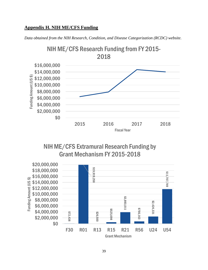## <span id="page-39-0"></span>**Appendix H. NIH ME/CFS Funding**

*Data obtained from the NIH Research, Condition, and Disease Categorization (RCDC) website.*



NIH ME/CFS Extramural Research Funding by Grant Mechanism FY 2015-2018

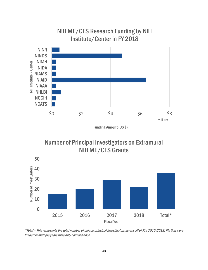

Funding Amount (US \$)

Number of Principal Investigators on Extramural NIH ME/CFS Grants



\*Total – This represents the total number of unique principal investigators across all of FYs 2015-2018. PIs that were funded in multiple years were only counted once.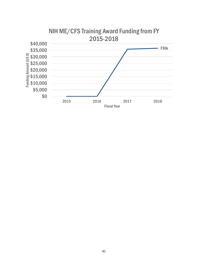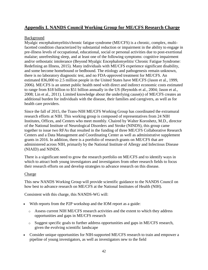# <span id="page-42-0"></span>**Appendix I. NANDS Council Working Group for ME/CFS Research Charge**

## Background

Myalgic encephalomyelitis/chronic fatigue syndrome (ME/CFS) is a chronic, complex, multifacetted condition characterized by substantial reduction or impairment in the ability to engage in pre-illness levels of occupational, educational, social or personal activities due to post-exertional malaise; unrefreshing sleep, and at least one of the following symptoms: cognitive impairment and/or orthostatic intolerance (Beyond Myalgic Encephalomyelitis/ Chronic Fatigue Syndrome: Redefining an Illness, 2015). Many individuals with ME/CFS experience significant disability, and some become homebound or bedbound. The etiology and pathogenesis remain unknown, there is no laboratory diagnostic test, and no FDA-approved treatment for ME/CFS. An estimated 836,000 to 2.5 million people in the United States have ME/CFS (Jason et al., 1999, 2006). ME/CFS is an unmet public health need with direct and indirect economic costs estimated to range from \$18 billion to \$51 billion annually in the US (Reynolds et al., 2004; Jason et al., 2008; Lin et al., 2011). Limited knowledge about the underlying cause(s) of ME/CFS creates an additional burden for individuals with the disease, their families and caregivers, as well as for health care providers.

Since the fall of 2015, the Trans-NIH ME/CFS Working Group has coordinated the extramural research efforts at NIH. This working group is composed of representatives from 24 NIH Institutes, Offices, and Centers who meet monthly. Chaired by Walter Koroshetz, M.D., director of the National Institute of Neurological Disorders and Stroke (NINDS), this group came together to issue two RFAs that resulted in the funding of three ME/CFS Collaborative Research Centers and a Data Management and Coordinating Center as well as administrative supplement grants in 2016. In addition, there is a portfolio of research grants on ME/CFS that are administered across NIH, primarily by the National Institute of Allergy and Infectious Disease (NIAID) and NINDS.

There is a significant need to grow the research portfolio on ME/CFS and to identify ways in which to attract both young investigators and investigators from other research fields to focus their research efforts on and develop strategies to advance research on this disease.

#### Charge

This new NANDS Working Group will provide scientific guidance to the NANDS Council on how best to advance research on ME/CFS at the National Institutes of Health (NIH).

Consistent with this charge, this NANDS-WG will:

- With reports from the P2P workshop and the IOM report as a guide:
	- o Assess current NIH ME/CFS research activities and the extent to which they address opportunities and gaps in ME/CFS research
	- o Suggest specific goals to further address opportunities and gaps in ME/CFS research, given the evolving scientific landscape
- Consider unique opportunities for NIH-supported ME/CFS research to train and empower a pipeline of young investigators, as well as investigators new to the field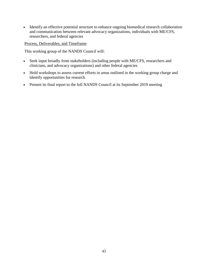• Identify an effective potential structure to enhance ongoing biomedical research collaboration and communication between relevant advocacy organizations, individuals with ME/CFS, researchers, and federal agencies

Process, Deliverables, and Timeframe

This working group of the NANDS Council will:

- Seek input broadly from stakeholders (including people with ME/CFS, researchers and clinicians, and advocacy organizations) and other federal agencies
- Hold workshops to assess current efforts in areas outlined in the working group charge and identify opportunities for research
- Present its final report to the full NANDS Council at its September 2019 meeting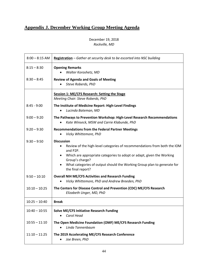# <span id="page-44-0"></span>**Appendix J. December Working Group Meeting Agenda**

## December 19, 2018 *Rockville, MD*

| $8:00 - 8:15$ AM | Registration - Gather at security desk to be escorted into NSC building                                                                                                                                                                                                                                            |
|------------------|--------------------------------------------------------------------------------------------------------------------------------------------------------------------------------------------------------------------------------------------------------------------------------------------------------------------|
| $8:15 - 8:30$    | <b>Opening Remarks</b><br>Walter Koroshetz, MD                                                                                                                                                                                                                                                                     |
| $8:30 - 8:45$    | <b>Review of Agenda and Goals of Meeting</b><br>Steve Roberds, PhD                                                                                                                                                                                                                                                 |
|                  | Session 1: ME/CFS Research: Setting the Stage<br>Meeting Chair: Steve Roberds, PhD                                                                                                                                                                                                                                 |
| $8:45 - 9:00$    | The Institute of Medicine Report: High-Level Findings<br>Lucinda Bateman, MD                                                                                                                                                                                                                                       |
| $9:00 - 9:20$    | The Pathways to Prevention Workshop: High-Level Research Recommendations<br>Kate Winseck, MSW and Carrie Klabunde, PhD                                                                                                                                                                                             |
| $9:20 - 9:30$    | <b>Recommendations from the Federal Partner Meetings</b><br>Vicky Whittemore, PhD                                                                                                                                                                                                                                  |
| $9:30 - 9:50$    | <b>Discussion</b><br>Review of the high-level categories of recommendations from both the IOM<br>and P2P.<br>Which are appropriate categories to adopt or adapt, given the Working<br>Group's charge?<br>What categories of output should the Working Group plan to generate for<br>$\bullet$<br>the final report? |
| $9:50 - 10:10$   | <b>Overall NIH ME/CFS Activities and Research Funding</b><br>Vicky Whittemore, PhD and Andrew Breeden, PhD<br>$\bullet$                                                                                                                                                                                            |
| $10:10 - 10:25$  | The Centers for Disease Control and Prevention (CDC) ME/CFS Research<br>Elizabeth Unger, MD, PhD                                                                                                                                                                                                                   |
| $10:25 - 10:40$  | <b>Break</b>                                                                                                                                                                                                                                                                                                       |
| $10:40 - 10:55$  | <b>Solve ME/CFS Initiative Research Funding</b><br>Carol Head<br>$\bullet$                                                                                                                                                                                                                                         |
| $10:55 - 11:10$  | The Open Medicine Foundation (OMF) ME/CFS Research Funding<br>Linda Tannenbaum<br>$\bullet$                                                                                                                                                                                                                        |
| $11:10 - 11:25$  | The 2019 Accelerating ME/CFS Research Conference<br>Joe Breen, PhD                                                                                                                                                                                                                                                 |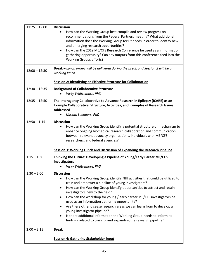| $11:25 - 12:00$ | <b>Discussion</b>                                                                                                                                                                                                                                                               |
|-----------------|---------------------------------------------------------------------------------------------------------------------------------------------------------------------------------------------------------------------------------------------------------------------------------|
|                 | How can the Working Group best compile and review progress on<br>recommendations from the Federal Partners meeting? What additional<br>information does the Working Group feel it needs in order to identify new<br>and emerging research opportunities?                        |
|                 | How can the 2019 ME/CFS Research Conference be used as an information<br>$\bullet$<br>gathering opportunity? Can any outputs from this conference feed into the<br><b>Working Groups efforts?</b>                                                                               |
| $12:00 - 12:30$ | Break - Lunch orders will be delivered during the break and Session 2 will be a<br>working lunch                                                                                                                                                                                |
|                 | Session 2: Identifying an Effective Structure for Collaboration                                                                                                                                                                                                                 |
| $12:30 - 12:35$ | <b>Background of Collaborative Structure</b><br>Vicky Whittemore, PhD                                                                                                                                                                                                           |
| $12:35 - 12:50$ | The Interagency Collaborative to Advance Research in Epilepsy (ICARE) as an<br><b>Example Collaborative: Structure, Activities, and Examples of Research Issues</b><br><b>Addressed</b>                                                                                         |
|                 | Miriam Leenders, PhD                                                                                                                                                                                                                                                            |
| $12:50 - 1:15$  | <b>Discussion</b><br>How can the Working Group identify a potential structure or mechanism to<br>enhance ongoing biomedical research collaboration and communication<br>between relevant advocacy organizations, individuals with ME/CFS,<br>researchers, and federal agencies? |
|                 | Session 3: Working Lunch and Discussion of Expanding the Research Pipeline                                                                                                                                                                                                      |
| $1:15 - 1:30$   | Thinking the Future: Developing a Pipeline of Young/Early Career ME/CFS<br>Investigators                                                                                                                                                                                        |
|                 | Vicky Whittemore, PhD                                                                                                                                                                                                                                                           |
| $1:30 - 2:00$   | <b>Discussion</b><br>How can the Working Group identify NIH activities that could be utilized to<br>train and empower a pipeline of young investigators?<br>How can the Working Group identify opportunities to attract and retain<br>$\bullet$                                 |
|                 | investigators new to the field?<br>How can the workshop for young / early career ME/CFS investigators be<br>٠<br>used as an information gathering opportunity?                                                                                                                  |
|                 | Are there other disease research areas we can learn from to develop a<br>young investigator pipeline?<br>Is there additional information the Working Group needs to inform its<br>$\bullet$                                                                                     |
|                 | findings related to training and expanding the research pipeline?                                                                                                                                                                                                               |
| $2:00 - 2:15$   | <b>Break</b>                                                                                                                                                                                                                                                                    |
|                 | <b>Session 4: Gathering Stakeholder Input</b>                                                                                                                                                                                                                                   |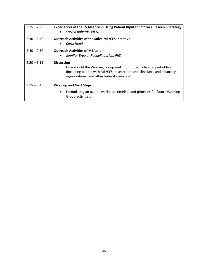| $2:15 - 2:30$ | Experiences of the TS Alliance in Using Patient Input to Inform a Research Strategy<br>Steven Roberds, Ph.D.                                                                                                    |
|---------------|-----------------------------------------------------------------------------------------------------------------------------------------------------------------------------------------------------------------|
| $2:30 - 2:40$ | <b>Outreach Activities of the Solve ME/CFS Initiative</b><br>Carol Head                                                                                                                                         |
| $2:40 - 2:50$ | <b>Outreach Activities of MEAction</b><br>Jennifer Brea or Rochelle Joslyn, PhD                                                                                                                                 |
| $2:50 - 3:15$ | <b>Discussion</b><br>How should the Working Group seek input broadly from stakeholders<br>(including people with ME/CFS, researchers and clinicians, and advocacy<br>organizations) and other federal agencies? |
| $3:15 - 3:45$ | <b>Wrap up and Next Steps</b>                                                                                                                                                                                   |
|               | Formulating an overall workplan, timeline and priorities for future Working<br>٠<br>Group activities.                                                                                                           |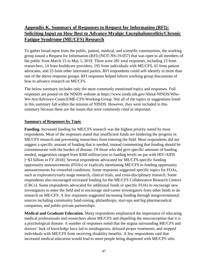# <span id="page-47-0"></span>**Appendix K. Summary of Responses to Request for Information (RFI): Soliciting Input on How Best to Advance Myalgic Encephalomyelitis/Chronic Fatigue Syndrome (ME/CFS) Research**

To gather broad input from the public, patient, medical, and scientific communities, the working group issued a Request for Information (RFI) (NOT-NS-19-057) that was open to all members of the public from March 15 to May 1, 2019. There were 281 total responses, including 23 from researchers, 14 from healthcare providers, 195 from individuals with ME/CFS, 61 from patient advocates, and 25 from other interested parties. RFI respondents could self-identify in more than one of the above response groups. RFI responses helped inform working group discussions of how to advance research on ME/CFS.

The below summary includes only the most commonly mentioned topics and responses. Full responses are posted on the NINDS website at https://www.ninds.nih.gov/About-NINDS/Who-We-Are/Advisory-Council/ME-CFS-Working-Group. Not all of the topics or suggestions listed in this summary fall within the mission of NINDS. However, they were included in this summary because these are the issues that were commonly cited as important.

## **Summary of Responses by Topic**

**Funding.** Increased funding for ME/CFS research was the highest priority stated by most respondents. Most of the responses stated that insufficient funds are hindering the progress in ME/CFS research and preventing researchers from entering the field. Most respondents did not suggest a specific amount of funding that is needed, instead commenting that funding should be commensurate with the burden of disease. Of those who did give specific amounts of funding needed, suggestions ranged from \$200 million/year to funding levels on par with HIV/AIDS [~\$3 billion in FY 2018]. Several respondents advocated for ME/CFS-specific funding opportunity announcements (FOAs) or explicitly mentioning ME/CFS in funding opportunity announcements for comorbid conditions. Some responses suggested specific topics for FOAs, such as exploratory/early-stage research, clinical trials, and cross-disciplinary research. Some respondents also encouraged increased funding for the ME/CFS Collaborative Research Centers (CRCs). Some respondents advocated for additional funds or specific FOAs to encourage new investigators to enter the field and to encourage mid-career investigators from other fields to do research on ME/CFS. A few responses suggested increasing funding through nongovernmental sources including community fund-raising, philanthropy, start-ups and big pharmaceutical companies, and public-private partnerships.

**Medical and Graduate Education.** Many respondents emphasized the importance of educating medical professionals and researchers about ME/CFS and dispelling the misconception that it is a psychological disease. A number of responses noted that the stigma surrounding ME/CFS and doctors' lack of knowledge have led to misdiagnosis, delayed proper treatments, and stopped individuals with ME/CFS from receiving disability benefits. A few respondents said that increased medical education would lead to more people being diagnosed with ME/CFS who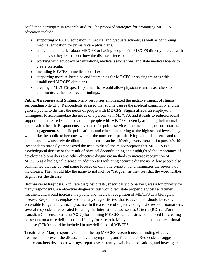could then participate in research studies. The proposed strategies for promoting ME/CFS education include:

- supporting ME/CFS education in medical and graduate schools, as well as continuing medical education for primary care physicians.
- using documentaries about ME/CFS or having people with ME/CFS directly interact with students so they learn about how the disease affects people.
- working with advocacy organizations, medical associations, and state medical boards to create curricula.
- including ME/CFS in medical board exams.
- supporting more fellowships and internships for ME/CFS or pairing trainees with established ME/CFS clinicians.
- creating a ME/CFS-specific journal that would allow physicians and researchers to communicate the most recent findings.

**Public Awareness and Stigma.** Many responses emphasized the negative impact of stigma surrounding ME/CFS. Respondents stressed that stigma causes the medical community and the general public to dismiss the needs of people with ME/CFS. Stigma affects an employer's willingness to accommodate the needs of a person with ME/CFS, and it leads to reduced social support and increased social isolation of people with ME/CFS, severely affecting their mental and physical health. Respondents advocated for public service announcements, documentaries, media engagement, scientific publications, and education starting at the high school level. They would like the public to become aware of the number of people living with this disease and to understand how severely debilitating the disease can be, affecting every aspect of a person's life. Respondents strongly emphasized the need to dispel the misconception that ME/CFS is a psychological disease or the result of physical deconditioning and highlighted the importance of developing biomarkers and other objective diagnostic methods to increase recognition of ME/CFS as a biological disease, in addition to facilitating accurate diagnosis. A few people also commented that the current name focuses on only one symptom and minimizes the severity of the disease. They would like the name to not include "fatigue," as they feel that the word further stigmatizes the disease.

**Biomarkers/Diagnosis.** Accurate diagnostic tests, specifically biomarkers, was a top priority for many respondents. An objective diagnostic test would facilitate proper diagnosis and timely treatment and would increase the public and medical recognition of ME/CFS as a biological disease. Respondents emphasized that any diagnostic test that is developed should be easily accessible for general clinical practice. In the absence of objective diagnostic tests or biomarkers, several respondents advocated for using the International Consensus Criteria (ICC) and/or the Canadian Consensus Criteria (CCC) for defining ME/CFS. Others stressed the need for creating consensus on a case definition specifically for research. Many people noted that post-exertional malaise (PEM) should be included in any definition of ME/CFS.

**Treatments.** Many responses said that the top ME/CFS research need is finding effective treatments to prevent the disease, alleviate symptoms, and find a cure. Respondents suggested that researchers develop new drugs, repurpose currently available medications, and investigate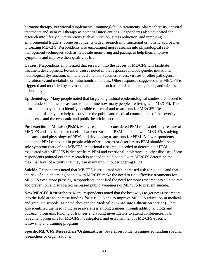hormone therapy, nutritional supplements, immunoglobulin treatments, plasmapheresis, antiviral treatments and stem cell therapy as potential interventions. Respondents also advocated for research into lifestyle interventions such as nutrition, stress reduction, and removing environmental triggers. Some respondents urged research into functional or holistic approaches to treating ME/CFS. Respondents also encouraged more research into physiological selfmanagement techniques such as heart rate monitoring and pacing, to help them improve symptoms and improve their quality of life.

**Causes.** Respondents emphasized that research into the causes of ME/CFS will facilitate treatment development. Potential causes noted in the responses include genetic mutations, neurological dysfunction, immune dysfunction, vaccines, stress, viruses or other pathogens, microbiome, and metabolic or mitochondrial defects. Other responses suggested that ME/CFS is triggered and modified by environmental factors such as mold, chemicals, foods, and wireless technology.

**Epidemiology.** Many people noted that large, longitudinal epidemiological studies are needed to better understand the disease and to determine how many people are living with ME/CFS. This information may help to identify possible causes of and treatments for ME/CFS. Respondents noted that this may also help to convince the public and medical communities of the severity of the disease and the economic and public health impact.

**Post-exertional Malaise (PEM).** Many respondents considered PEM to be a defining feature of ME/CFS and advocated for careful characterization of PEM in people with ME/CFS, studying the causes and physiology of PEM, and developing treatments for PEM. A few respondents noted that PEM can occur in people with other diseases or disorders so PEM shouldn't be the sole symptom that defines ME/CFS. Additional research is needed to determine if PEM associated with ME/CFS is distinct from PEM and exertional intolerance in other diseases. Some respondents pointed out that research is needed to help people with ME/CFS determine the maximal level of activity that they can maintain without triggering PEM.

**Suicide.** Respondents noted that ME/CFS is associated with increased risk for suicide and that the risk of suicide among people with ME/CFS make the need to find effective treatments for ME/CFS even more pressing. Respondents identified the need for more research into suicide rate and prevention and suggested increased public awareness of ME/CFS to prevent suicide.

**New ME/CFS Researchers.** Many respondents noted that the best ways to get new researchers into the field are to increase funding for ME/CFS and to improve ME/CFS education in medical and graduate schools (as noted above in the **Medical or Graduate Education** section). They also identified the need to increase awareness among trainees through additional blogs and outreach programs, funding of trainees and young investigators to attend conferences, loan repayment programs for ME/CFS investigators, and establishment of ME/CFS-specific fellowship and training programs.

**Specific ME/CFS Researchers/Organizations.** Several respondents suggested funding specific researchers or organizations.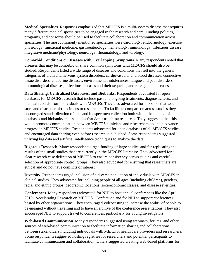**Medical Specialties**. Responses emphasized that ME/CFS is a multi-system disease that requires many different medical specialties to be engaged in the research and care. Funding policies, programs, and consortia should be used to facilitate collaboration and communication across specialties. The most commonly mentioned specialties were cardiology, endocrinology, exercise physiology, functional medicine, gastroenterology, hematology, immunology, infectious disease, integrative medicine/physiology, neurology, rheumatology, and virology.

**Comorbid Conditions or Diseases with Overlapping Symptoms**. Many respondents noted that diseases that may be comorbid or share common symptoms with ME/CFS should also be studied. Respondents listed a wide range of diseases and conditions that fell into the general categories of brain and nervous system disorders, cardiovascular and blood diseases, connective tissue disorders, endocrine diseases, environmental intolerances, fatigue and pain disorders, immunological diseases, infectious diseases and their sequelae, and rare genetic diseases.

**Data Sharing, Centralized Databases, and Biobanks.** Respondents advocated for open databases for ME/CFS research that include past and ongoing treatments, diagnostic tests, and medical records from individuals with ME/CFS. They also advocated for biobanks that would store and distribute biospecimens to researchers. To facilitate comparison across studies they encouraged standardization of data and biospecimen collection both within the context of databases and biobanks and in studies that don't use these resources. They suggested that this would promote communication between ME/CFS clinicians and researchers and help advance progress in ME/CFS studies. Respondents advocated for open databases of all ME/CFS studies and encouraged data sharing even before research is published. Some respondents suggested utilizing big data and artificial intelligence techniques to analyze the data.

**Rigorous Research.** Many respondents urged funding of large studies and for replicating the results of the small studies that are currently in the ME/CFS literature. They advocated for a clear research case definition of ME/CFS to ensure consistency across studies and careful selection of appropriate control groups. They also advocated for ensuring that researchers are ethical and do not have conflicts of interest.

**Diversity**. Respondents urged inclusion of a diverse population of individuals with ME/CFS in clinical studies. They advocated for including people of all ages (including children), genders, racial and ethnic groups, geographic locations, socioeconomic classes, and disease severities.

**Conferences.** Many respondents advocated for NIH to host annual conferences like the April 2019 "Accelerating Research on ME/CFS" Conference and for NIH to support conferences hosted by other organizations. They encouraged videocasting to increase the ability of people to be engaged without travelling and to have an archive of the conference presentations. They also encouraged NIH to support travel to conferences, particularly for young investigators.

**Web-based Communication.** Many respondents suggested using webinars, forums, and other sources of web-based communication to facilitate information sharing and collaborations between stakeholders including individuals with ME/CFS, health care providers and researchers. Some respondents suggested hosting registries for researchers and potential participants to facilitate communication and collaboration. Others suggested creating web-based platforms for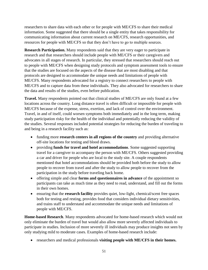researchers to share data with each other or for people with ME/CFS to share their medical information. Some suggested that there should be a single entity that takes responsibility for communicating information about current research on ME/CFS, research opportunities, and resources for people with ME/CFS so that they don't have to go to multiple sources.

**Research Participation.** Many respondents said that they are very eager to participate in research and that researchers should include people with ME/CFS or their caregivers and advocates in all stages of research. In particular, they stressed that researchers should reach out to people with ME/CFS when designing study protocols and symptom assessment tools to ensure that the studies are focused on the aspects of the disease that are most disabling and that protocols are designed to accommodate the unique needs and limitations of people with ME/CFS. Many respondents advocated for a registry to connect researchers to people with ME/CFS and to capture data from these individuals. They also advocated for researchers to share the data and results of the studies, even before publication.

**Travel.** Many respondents pointed out that clinical studies of ME/CFS are only found at a few locations across the country. Long distance travel is often difficult or impossible for people with ME/CFS because of the expense, stress, exertion, and lack of control over the environment. Travel, in and of itself, could worsen symptoms both immediately and in the long term, making study participation risky for the health of the individual and potentially reducing the validity of the studies. Several responses included potential strategies for reducing the burden of traveling to and being in a research facility such as:

- funding more **research centers in all regions of the country** and providing alternative off-site locations for testing and blood draws.
- providing **funds for travel and hotel accommodations**. Some suggested supporting travel for a caregiver to accompany the person with ME/CFS. Others suggested providing a car and driver for people who are local to the study site. A couple respondents mentioned that hotel accommodations should be provided both before the study to allow people to recover from travel and after the study to allow people to recover from the participation in the study before traveling back home.
- offering simple and clear **forms and questionnaires in advance** of the appointment so participants can take as much time as they need to read, understand, and fill out the forms in their own homes.
- ensuring that the **research facility** provides quiet, low-light, chemical/scent free spaces both for testing and resting, provides food that considers individual dietary sensitivities, and trains staff to understand and accommodate the unique needs and limitations of people with ME/CFS.

**Home-based Research**. Many respondents advocated for home-based research which would not only eliminate the burden of travel but would also allow more severely affected individuals to participate in studies. Inclusion of more severely ill individuals may produce insights not seen by only studying mild to moderate cases. Examples of home-based research include:

• researchers and medical professionals **visiting people with ME/CFS in their homes.**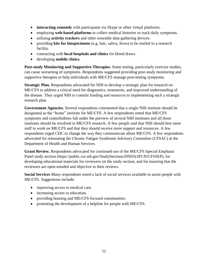- **interacting remotely** with participants via Skype or other virtual platforms.
- employing **web-based platforms** to collect medical histories or track daily symptoms.
- utilizing **activity trackers** and other wearable data-gathering devices.
- providing **kits for biospecimens** (e.g. hair, saliva, feces) to be mailed to a research facility.
- contracting with **local hospitals and clinics** for blood draws.
- developing **mobile clinics**.

**Post-study Monitoring and Supportive Therapies.** Some testing, particularly exercise studies, can cause worsening of symptoms. Respondents suggested providing post-study monitoring and supportive therapies to help individuals with ME/CFS manage post-testing symptoms.

**Strategic Plan.** Respondents advocated for NIH to develop a strategic plan for research on ME/CFS to address a critical need for diagnostics, treatments, and improved understanding of the disease. They urged NIH to commit funding and resources to implementing such a strategic research plan.

**Government Agencies.** Several respondents commented that a single NIH institute should be designated as the "home" institute for ME/CFS. A few respondents noted that ME/CFS symptoms and comorbidities fall under the purview of several NIH institutes and all those institutes should be involved in ME/CFS research. A few people said that NIH should hire more staff to work on ME/CFS and that they should receive more support and resources. A few respondents urged CDC to change the way they communicate about ME/CFS. A few respondents advocated for reinstating the Chronic Fatigue Syndrome Advisory Committee (CFSAC) at the Department of Health and Human Services.

**Grant Review.** Respondents advocated for continued use of the ME/CFS Special Emphasis Panel study section (https://public.csr.nih.gov/StudySections/DNDA/IFCN/CFSSEP), for developing educational materials for reviewers on the study section, and for ensuring that the reviewers are open-minded and objective in their reviews.

**Social Services** Many respondents noted a lack of social services available to assist people with ME/CFS. Suggestions include:

- improving access to medical care.
- increasing access to education.
- providing housing and ME/CFS-focused communities.
- promoting the development of a helpline for people with ME/CFS.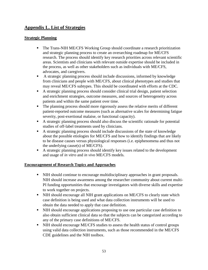# <span id="page-53-0"></span>**Appendix L. List of Strategies**

## **Strategic Planning**

- The Trans-NIH ME/CFS Working Group should coordinate a research prioritization and strategic planning process to create an overarching roadmap for ME/CFS research. The process should identify key research priorities across relevant scientific areas. Scientists and clinicians with relevant outside expertise should be included in the process, as well as other stakeholders such as individuals with ME/CFS, advocates, and caregivers.
- A strategic planning process should include discussions, informed by knowledge from clinicians and people with ME/CFS, about clinical phenotypes and studies that may reveal ME/CFS subtypes. This should be coordinated with efforts at the CDC.
- A strategic planning process should consider clinical trial design, patient selection and enrichment strategies, outcome measures, and sources of heterogeneity across patients and within the same patient over time.
- The planning process should more rigorously assess the relative merits of different patient-reported outcome measures (such as alternative scales for determining fatigue severity, post-exertional malaise, or functional capacity).
- A strategic planning process should also discuss the scientific rationale for potential studies of off-label treatments used by clinicians.
- A strategic planning process should include discussions of the state of knowledge about the possible etiologies for ME/CFS and how to identify findings that are likely to be disease causes versus physiological responses (i.e. epiphenomena and thus not the underlying cause(s) of ME/CFS).
- A strategic planning process should identify key issues related to the development and usage of *in vitro* and *in vivo* ME/CFS models.

#### **Encouragement of Research Topics and Approaches**

- NIH should continue to encourage multidisciplinary approaches in grant proposals. NIH should increase awareness among the researcher community about current multi-PI funding opportunities that encourage investigators with diverse skills and expertise to work together on projects.
- NIH should encourage all NIH grant applications on ME/CFS to clearly state which case definition is being used and what data collection instruments will be used to obtain the data needed to apply that case definition.
- NIH should encourage applications proposing to use one particular case definition to also obtain sufficient clinical data so that the subjects can be categorized according to any of the primary case definitions of ME/CFS.
- NIH should encourage ME/CFS studies to assess the health status of control groups using valid data collection instruments, such as those recommended in the ME/CFS CDE guidelines and the NIH toolbox.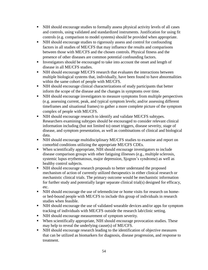- NIH should encourage studies to formally assess physical activity levels of all cases and controls, using validated and standardized instruments. Justification for using fit controls (e.g. comparison to model systems) should be provided when appropriate.
- NIH should encourage studies to rigorously assess and control for confounding factors in all studies of ME/CFS that may influence the results and comparisons between those with ME/CFS and the chosen controls. Physical fitness and the presence of other diseases are common potential confounding factors.
- Investigators should be encouraged to take into account the onset and length of disease in all ME/CFS studies.
- **EXECUTE:** NIH should encourage ME/CFS research that evaluates the interactions between multiple biological systems that, individually, have been found to have abnormalities within the same cohort of people with ME/CFS.
- NIH should encourage clinical characterizations of study participants that better inform the scope of the disease and the changes in symptoms over time.
- NIH should encourage investigators to measure symptoms from multiple perspectives (e.g. assessing current, peak, and typical symptom levels; and/or assessing different timeframes and situational frames) to gather a more complete picture of the symptom complex of people with ME/CFS.
- NIH should encourage research to identify and validate ME/CFS subtypes. Researchers examining subtypes should be encouraged to consider relevant clinical information including (but not limited to) onset triggers, disease severity, stage of disease, and symptom presentation, as well as combinations of clinical and biological data.
- NIH should encourage multidisciplinary ME/CFS studies to examine and report on comorbid conditions utilizing the appropriate ME/CFS CDEs.
- When scientifically appropriate, NIH should encourage investigators to include disease comparison groups with other fatiguing illnesses (e.g., multiple sclerosis, systemic lupus erythematosus, major depression, Sjogren's syndrome) as well as healthy control subjects.
- NIH should encourage research proposals to better understand the proposed mechanism of action of currently utilized therapeutics in either clinical research or mechanistic clinical trials. The primary outcome would be mechanistic information for further study and potentially larger separate clinical trial(s) designed for efficacy, etc.
- NIH should encourage the use of telemedicine or home visits for research on homeor bed-bound people with ME/CFS to include this group of individuals in research studies when feasible.
- NIH should encourage the use of validated wearable devices and/or apps for symptom tracking of individuals with ME/CFS outside the research lab/clinic setting.
- NIH should encourage measurement of symptom severity.
- When scientifically appropriate, NIH should encourage provocation studies. These may help to reveal the underlying cause(s) of ME/CFS.
- NIH should encourage research leading to the identification of objective measures that can be utilized as biomarkers for diagnosis, disease progression, and response to treatment.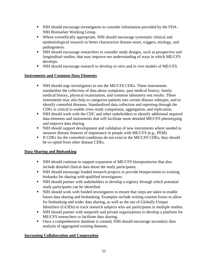- NIH should encourage investigators to consider information provided by the FDA-NIH Biomarker Working Group.
- Where scientifically appropriate, NIH should encourage systematic clinical and epidemiological research to better characterize disease onset, triggers, etiology, and pathogenesis.
- NIH should encourage researchers to consider study designs, such as prospective and longitudinal studies, that may improve our understanding of ways in which ME/CFS develops.
- NIH should encourage research to develop *in vitro* and *in vivo* models of ME/CFS.

## **Instruments and Common Data Elements**

- NIH should urge investigators to use the ME/CFS CDEs. These instruments standardize the collection of data about symptoms, past medical history, family medical history, physical examination, and common laboratory test results. These instruments may also help to categorize patients into certain disease subtypes, and to identify comorbid diseases. Standardized data collection and reporting through the CDEs is critical to enable cross study comparison, aggregation, and replication.
- NIH should work with the CDC and other stakeholders to identify additional required data elements and instruments that will facilitate more detailed ME/CFS phenotyping and improve data sharing.
- NIH should support development and validation of new instruments where needed to measure disease features of importance to people with ME/CFS (e.g., PEM).
- **If CDEs for the comorbid conditions do not exist in the ME/CFS CDEs, they should** be co-opted from other disease CDEs.

#### **Data Sharing and Biobanking**

- NIH should continue to support expansion of ME/CFS biorepositories that also include detailed clinical data about the study participants.
- NIH should encourage funded research projects to provide biospecimens to existing biobanks for sharing with qualified investigators.
- NIH should partner with stakeholders to develop a registry through which potential study participants can be identified.
- NIH should work with funded investigators to ensure that steps are taken to enable future data sharing and biobanking. Examples include writing consent forms to allow for biobanking and wider data sharing, as well as the use of Globally Unique Identifiers (GUIDs) to track research subjects who are participants in multiple studies.
- NIH should partner with nonprofit and private organizations to develop a platform for ME/CFS researchers to facilitate data sharing.
- Once a comprehensive database is created, NIH should encourage secondary data analysis of aggregated existing datasets.

#### **Increasing Collaboration and Cooperation**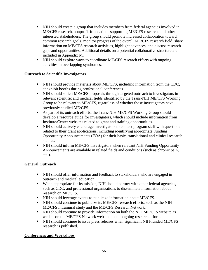- NIH should create a group that includes members from federal agencies involved in ME/CFS research, nonprofit foundations supporting ME/CFS research, and other interested stakeholders. The group should promote increased collaboration toward common research goals, monitor progress of the overall ME/CFS research field, share information on ME/CFS research activities, highlight advances, and discuss research gaps and opportunities. Additional details on a potential collaborative structure are included in Appendix M.
- NIH should explore ways to coordinate ME/CFS research efforts with ongoing activities in overlapping syndromes.

## **Outreach to Scientific Investigators**

- NIH should provide materials about ME/CFS, including information from the CDC, at exhibit booths during professional conferences.
- NIH should solicit ME/CFS proposals through targeted outreach to investigators in relevant scientific and medical fields identified by the Trans-NIH ME/CFS Working Group to be relevant to ME/CFS, regardless of whether those investigators have previously studied ME/CFS.
- As part of its outreach efforts, the Trans-NIH ME/CFS Working Group should develop a resource guide for investigators, which should include information from Institute/Center websites related to grant and training opportunities.
- NIH should actively encourage investigators to contact program staff with questions related to their grant applications, including identifying appropriate Funding Opportunity Announcements (FOA) for their basic, translational and clinical research studies.
- NIH should inform ME/CFS investigators when relevant NIH Funding Opportunity Announcements are available in related fields and conditions (such as chronic pain, etc.).

#### **General Outreach**

- NIH should offer information and feedback to stakeholders who are engaged in outreach and medical education.
- When appropriate for its mission, NIH should partner with other federal agencies, such as CDC, and professional organizations to disseminate information about research on ME/CFS.
- NIH should leverage events to publicize information about ME/CFS.
- NIH should continue to publicize its ME/CFS research efforts, such as the NIH ME/CFS intramural study and the ME/CFS Research Network.
- NIH should continue to provide information on both the NIH ME/CFS website as well as on the ME/CFS Network website about ongoing research efforts.
- NIH should continue to issue press releases when significant NIH-funded ME/CFS research is published.

#### **Conferences and Workshops**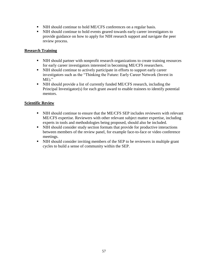- NIH should continue to hold ME/CFS conferences on a regular basis.
- NIH should continue to hold events geared towards early career investigators to provide guidance on how to apply for NIH research support and navigate the peer review process.

## **Research Training**

- NIH should partner with nonprofit research organizations to create training resources for early career investigators interested in becoming ME/CFS researchers.
- NIH should continue to actively participate in efforts to support early career investigators such as the "Thinking the Future: Early Career Network (Invest in  $ME$ )."
- NIH should provide a list of currently funded ME/CFS research, including the Principal Investigator(s) for each grant award to enable trainees to identify potential mentors.

## **Scientific Review**

- NIH should continue to ensure that the ME/CFS SEP includes reviewers with relevant ME/CFS expertise. Reviewers with other relevant subject matter expertise, including experts in tools and methodologies being proposed, should also be included.
- NIH should consider study section formats that provide for productive interactions between members of the review panel, for example face-to-face or video conference meetings.
- NIH should consider inviting members of the SEP to be reviewers in multiple grant cycles to build a sense of community within the SEP.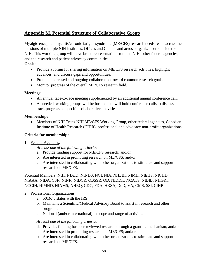# <span id="page-58-0"></span>**Appendix M. Potential Structure of Collaborative Group**

Myalgic encephalomyelitis/chronic fatigue syndrome (ME/CFS) research needs reach across the missions of multiple NIH Institutes, Offices and Centers and across organizations outside the NIH. This working group will have broad representation from the NIH, other federal agencies, and the research and patient advocacy communities.

## **Goals:**

- Provide a forum for sharing information on ME/CFS research activities, highlight advances, and discuss gaps and opportunities.
- Promote increased and ongoing collaboration toward common research goals.
- Monitor progress of the overall ME/CFS research field.

#### **Meetings:**

- An annual face-to-face meeting supplemented by an additional annual conference call.
- As needed, working groups will be formed that will hold conference calls to discuss and track progress on specific collaborative activities.

#### **Membership:**

• Members of NIH Trans-NIH ME/CFS Working Group, other federal agencies, Canadian Institute of Health Research (CIHR), professional and advocacy non-profit organizations.

#### **Criteria for membership:**

1. Federal Agencies:

*At least one of the following criteria:*

- a. Provide funding support for ME/CFS research; and/or
- b. Are interested in promoting research on ME/CFS; and/or
- c. Are interested in collaborating with other organizations to stimulate and support research on ME/CFS.

Potential Members: NIH: NIAID, NINDS, NCI, NIA, NHLBI, NIMH, NIEHS, NICHD, NIAAA, NIDA, CSR, NINR, NIDCR, OBSSR, OD, NIDDK, NCATS, NIBIB, NHGRI, NCCIH, NIMHD, NIAMS; AHRQ, CDC, FDA, HRSA, DoD, VA, CMS, SSI, CIHR

#### 2. Professional Organizations:

- a.  $501(c)3$  status with the IRS
- b. Maintains a Scientific/Medical Advisory Board to assist in research and other programs
- c. National (and/or international) in scope and range of activities

#### *At least one of the following criteria:*

- d. Provides funding for peer-reviewed research through a granting mechanism; and/or
- a. Are interested in promoting research on ME/CFS; and/or
- b. Are interested in collaborating with other organizations to stimulate and support research on ME/CFS.